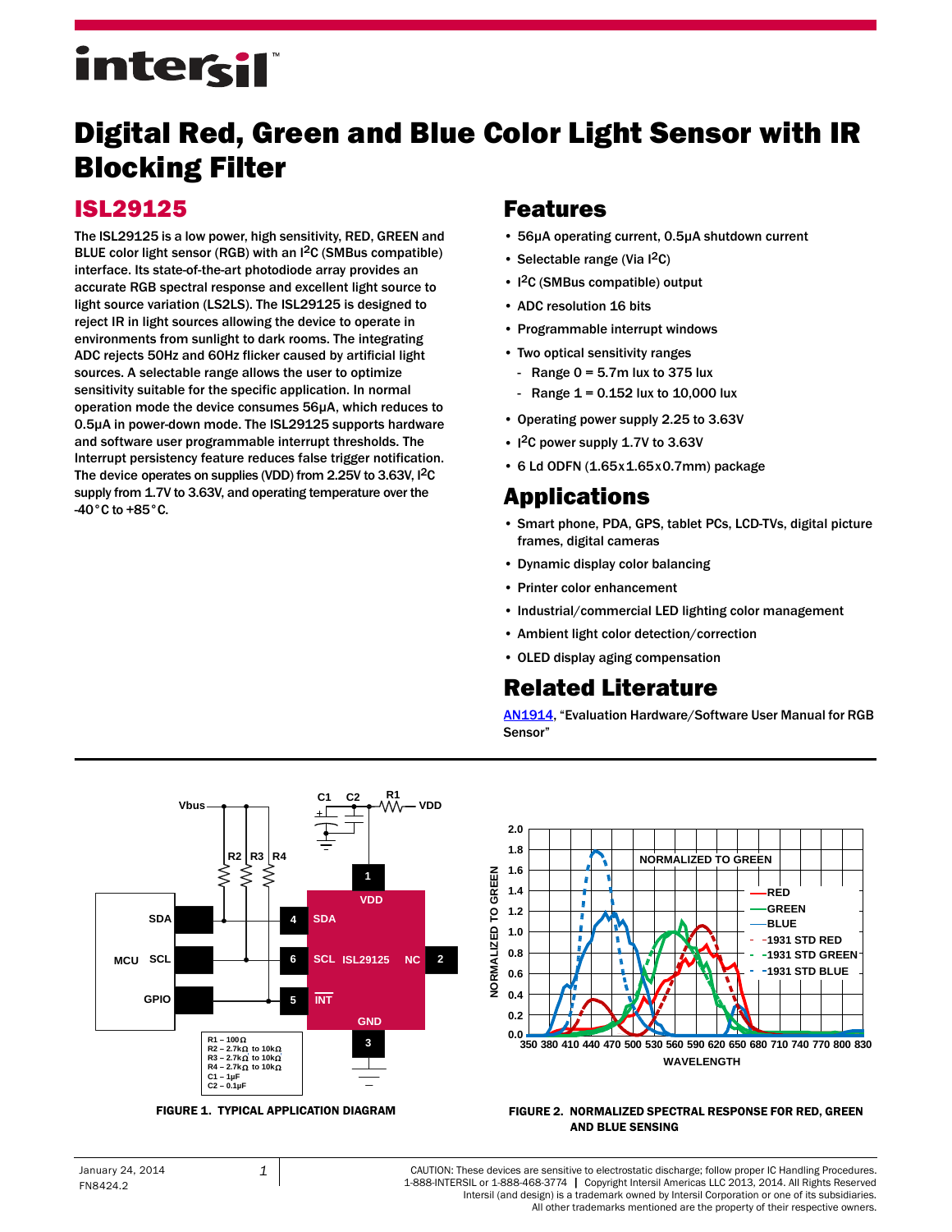# intersil

## Digital Red, Green and Blue Color Light Sensor with IR Blocking Filter

## ISL29125

The ISL29125 is a low power, high sensitivity, RED, GREEN and BLUE color light sensor (RGB) with an I2C (SMBus compatible) interface. Its state-of-the-art photodiode array provides an accurate RGB spectral response and excellent light source to light source variation (LS2LS). The ISL29125 is designed to reject IR in light sources allowing the device to operate in environments from sunlight to dark rooms. The integrating ADC rejects 50Hz and 60Hz flicker caused by artificial light sources. A selectable range allows the user to optimize sensitivity suitable for the specific application. In normal operation mode the device consumes 56µA, which reduces to 0.5µA in power-down mode. The ISL29125 supports hardware and software user programmable interrupt thresholds. The Interrupt persistency feature reduces false trigger notification. The device operates on supplies (VDD) from 2.25V to 3.63V, I<sup>2</sup>C supply from 1.7V to 3.63V, and operating temperature over the -40°C to +85°C.

## Features

- 56µA operating current, 0.5µA shutdown current
- Selectable range (Via  $1^2C$ )
- $\cdot$  I<sup>2</sup>C (SMBus compatible) output
- ADC resolution 16 bits
- Programmable interrupt windows
- Two optical sensitivity ranges
	- Range  $0 = 5.7$ m lux to 375 lux
	- Range  $1 = 0.152$  lux to  $10,000$  lux
- Operating power supply 2.25 to 3.63V
- I<sup>2</sup>C power supply 1.7V to 3.63V
- 6 Ld ODFN (1.65x1.65x0.7mm) package

## Applications

- Smart phone, PDA, GPS, tablet PCs, LCD-TVs, digital picture frames, digital cameras
- Dynamic display color balancing
- Printer color enhancement
- Industrial/commercial LED lighting color management
- Ambient light color detection/correction
- OLED display aging compensation

## Related Literature

[AN1914](http://www.intersil.com/content/dam/Intersil/documents/an19/an1914.pdf), "Evaluation Hardware/Software User Manual for RGB Sensor"



<span id="page-0-0"></span>

#### FIGURE 1. TYPICAL APPLICATION DIAGRAM FIGURE 2. NORMALIZED SPECTRAL RESPONSE FOR RED, GREEN AND BLUE SENSING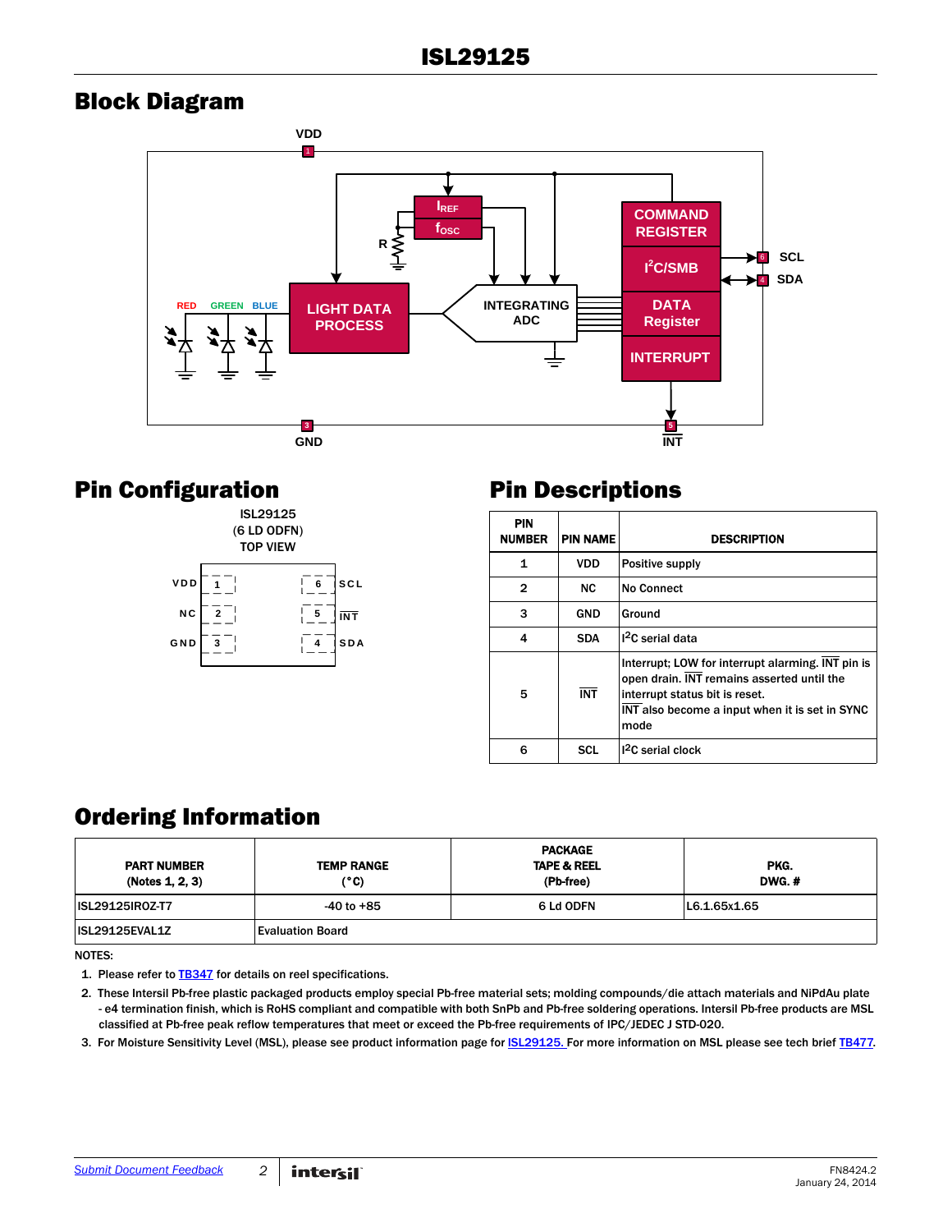## Block Diagram



## Pin Configuration



## Pin Descriptions

| <b>PIN</b><br><b>NUMBER</b> | <b>PIN NAME</b> | <b>DESCRIPTION</b>                                                                                                                                                                          |
|-----------------------------|-----------------|---------------------------------------------------------------------------------------------------------------------------------------------------------------------------------------------|
| 1                           | <b>VDD</b>      | Positive supply                                                                                                                                                                             |
| $\mathbf{2}$                | <b>NC</b>       | <b>No Connect</b>                                                                                                                                                                           |
| 3                           | GND             | Ground                                                                                                                                                                                      |
| 4                           | <b>SDA</b>      | $12C$ serial data                                                                                                                                                                           |
| 5                           | <b>INT</b>      | Interrupt; LOW for interrupt alarming. INT pin is<br>open drain. INT remains asserted until the<br>interrupt status bit is reset.<br>INT also become a input when it is set in SYNC<br>mode |
| ี                           | SCL             | 1 <sup>2</sup> C serial clock                                                                                                                                                               |

## Ordering Information

| <b>PART NUMBER</b><br>(Notes 1, 2, 3) | <b>TEMP RANGE</b><br>(°C) | <b>PACKAGE</b><br><b>TAPE &amp; REEL</b><br>(Pb-free) | PKG.<br>DWG.# |
|---------------------------------------|---------------------------|-------------------------------------------------------|---------------|
| <b>ISL29125IR0Z-T7</b>                | $-40$ to $+85$            | 6 Ld ODFN                                             | L6.1.65x1.65  |
| ISL29125EVAL1Z                        | <b>Evaluation Board</b>   |                                                       |               |

NOTES:

1. Please refer to **[TB347](http://www.intersil.com/data/tb/tb347.pdf)** for details on reel specifications.

<span id="page-1-0"></span>2. These Intersil Pb-free plastic packaged products employ special Pb-free material sets; molding compounds/die attach materials and NiPdAu plate - e4 termination finish, which is RoHS compliant and compatible with both SnPb and Pb-free soldering operations. Intersil Pb-free products are MSL classified at Pb-free peak reflow temperatures that meet or exceed the Pb-free requirements of IPC/JEDEC J STD-020.

<span id="page-1-1"></span>3. For Moisture Sensitivity Level (MSL), please see product information page for **ISL29125**. For more information on MSL please see tech brief **TB477**.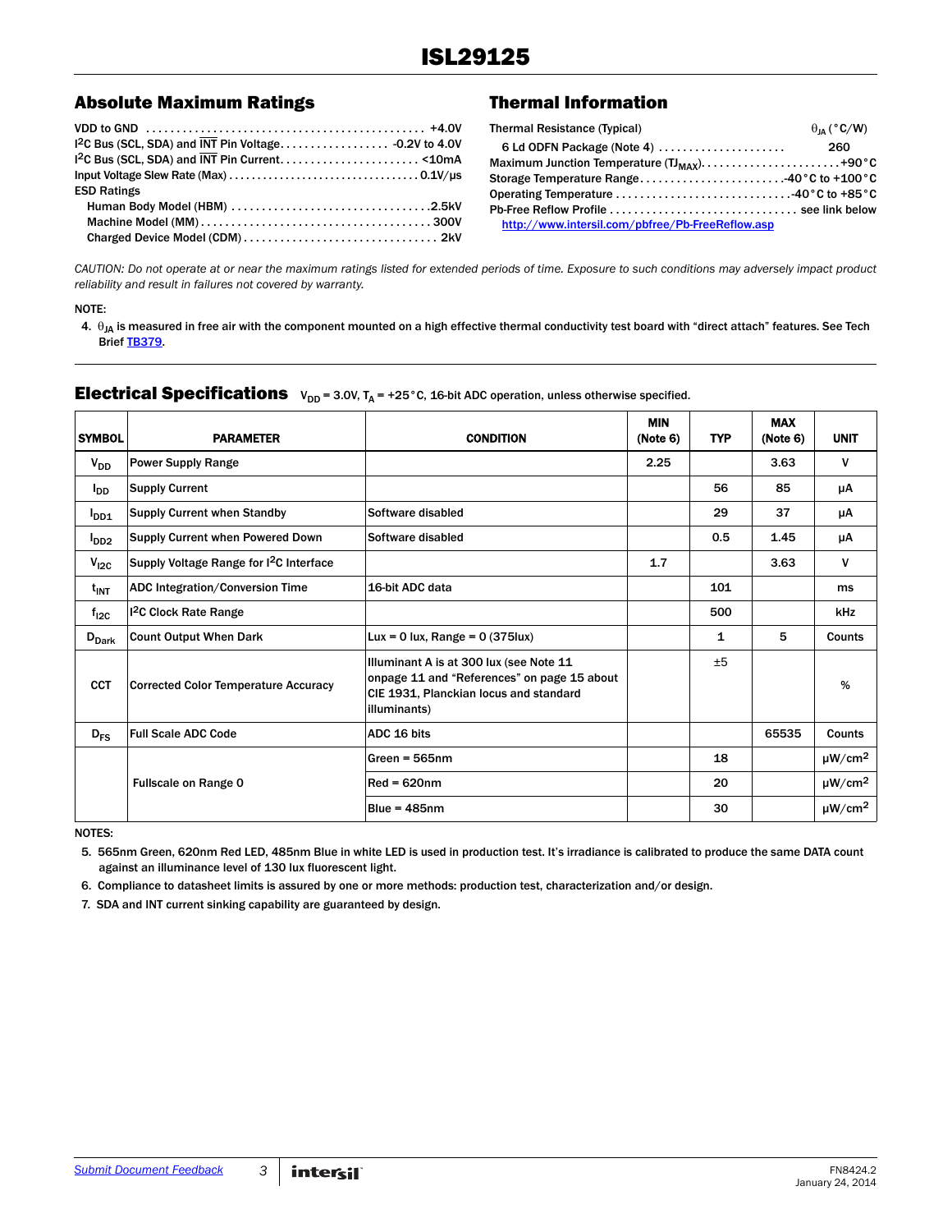### Absolute Maximum Ratings Thermal Information

| <b>ESD Ratings</b> |  |
|--------------------|--|
|                    |  |
|                    |  |
|                    |  |

| <b>Thermal Resistance (Typical)</b>              | $\theta_{IA}$ (°C/W) |
|--------------------------------------------------|----------------------|
| 6 Ld ODFN Package (Note 4)                       | 260                  |
|                                                  |                      |
| Storage Temperature Range40°C to +100°C          |                      |
|                                                  |                      |
|                                                  |                      |
| http://www.intersil.com/pbfree/Pb-FreeReflow.asp |                      |
|                                                  |                      |

*CAUTION: Do not operate at or near the maximum ratings listed for extended periods of time. Exposure to such conditions may adversely impact product reliability and result in failures not covered by warranty.*

#### NOTE:

<span id="page-2-0"></span>4.  $\theta_{JA}$  is measured in free air with the component mounted on a high effective thermal conductivity test board with "direct attach" features. See Tech Brief [TB379](http://www.intersil.com/data/tb/tb379.pdf).

## **Electrical Specifications**  $V_{DD} = 3.0V$ ,  $T_A = +25^\circ$ C, 16-bit ADC operation, unless otherwise specified.

| <b>SYMBOL</b>          | <b>PARAMETER</b>                                    | <b>CONDITION</b>                                                                                                                                 | <b>MIN</b><br>(Note 6) | <b>TYP</b> | <b>MAX</b><br>(Note 6) | <b>UNIT</b>             |
|------------------------|-----------------------------------------------------|--------------------------------------------------------------------------------------------------------------------------------------------------|------------------------|------------|------------------------|-------------------------|
| $V_{DD}$               | <b>Power Supply Range</b>                           |                                                                                                                                                  | 2.25                   |            | 3.63                   | $\mathsf{V}$            |
| <b>I</b> <sub>DD</sub> | <b>Supply Current</b>                               |                                                                                                                                                  |                        | 56         | 85                     | μA                      |
| $I_{DD1}$              | <b>Supply Current when Standby</b>                  | Software disabled                                                                                                                                |                        | 29         | 37                     | μA                      |
| I <sub>DD2</sub>       | Supply Current when Powered Down                    | Software disabled                                                                                                                                |                        | 0.5        | 1.45                   | μA                      |
| $V_{I2C}$              | Supply Voltage Range for I <sup>2</sup> C Interface |                                                                                                                                                  | 1.7                    |            | 3.63                   | $\mathsf{v}$            |
| $t_{INT}$              | ADC Integration/Conversion Time                     | 16-bit ADC data                                                                                                                                  |                        | 101        |                        | ms                      |
| $f_{12C}$              | <sup>12</sup> C Clock Rate Range                    |                                                                                                                                                  |                        | 500        |                        | kHz                     |
| $D_{\text{Dark}}$      | <b>Count Output When Dark</b>                       | Lux = 0 lux, Range = $0$ (375lux)                                                                                                                |                        | 1          | 5                      | <b>Counts</b>           |
| <b>CCT</b>             | <b>Corrected Color Temperature Accuracy</b>         | Illuminant A is at 300 lux (see Note 11<br>onpage 11 and "References" on page 15 about<br>CIE 1931, Planckian locus and standard<br>illuminants) |                        | ±5         |                        | %                       |
| $D_{FS}$               | <b>Full Scale ADC Code</b>                          | ADC 16 bits                                                                                                                                      |                        |            | 65535                  | Counts                  |
|                        |                                                     | Green = $565nm$                                                                                                                                  |                        | 18         |                        | $\mu$ W/cm <sup>2</sup> |
|                        | <b>Fullscale on Range 0</b>                         | $Red = 620nm$                                                                                                                                    |                        | 20         |                        | $\mu$ W/cm <sup>2</sup> |
|                        |                                                     | Blue = 485nm                                                                                                                                     |                        | 30         |                        | $\mu$ W/cm <sup>2</sup> |

NOTES:

5. 565nm Green, 620nm Red LED, 485nm Blue in white LED is used in production test. It's irradiance is calibrated to produce the same DATA count against an illuminance level of 130 lux fluorescent light.

<span id="page-2-1"></span>6. Compliance to datasheet limits is assured by one or more methods: production test, characterization and/or design.

7. SDA and INT current sinking capability are guaranteed by design.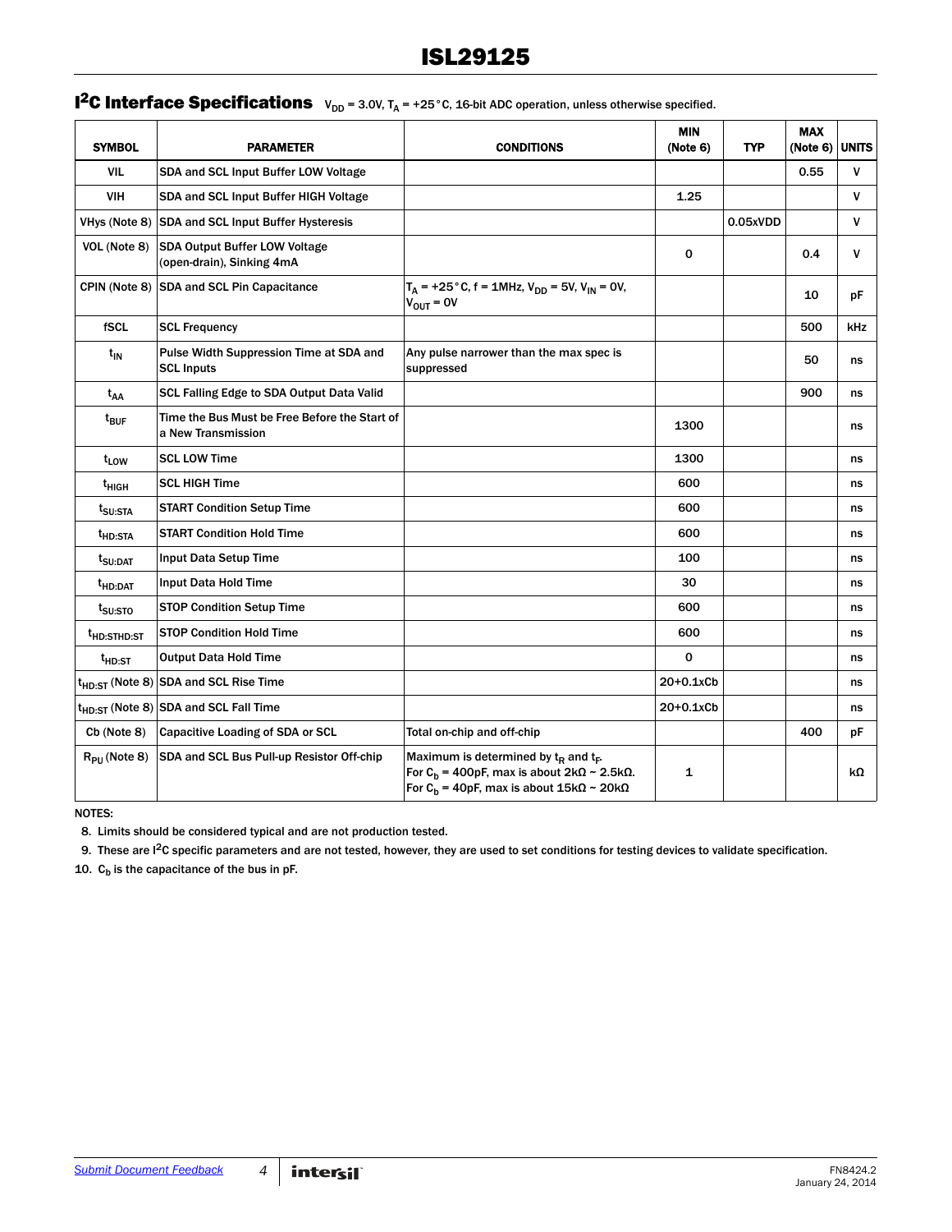## **I<sup>2</sup>C Interface Specifications**  $V_{DD} = 3.0V$ ,  $T_A = +25^\circ$ C, 16-bit ADC operation, unless otherwise specified.

| <b>SYMBOL</b>           | <b>PARAMETER</b>                                                    | <b>CONDITIONS</b>                                                                                                                                                                | <b>MIN</b><br>(Note 6) | <b>TYP</b> | <b>MAX</b><br>(Note 6) UNITS |              |
|-------------------------|---------------------------------------------------------------------|----------------------------------------------------------------------------------------------------------------------------------------------------------------------------------|------------------------|------------|------------------------------|--------------|
| <b>VIL</b>              | SDA and SCL Input Buffer LOW Voltage                                |                                                                                                                                                                                  |                        |            | 0.55                         | $\mathsf{V}$ |
| <b>VIH</b>              | SDA and SCL Input Buffer HIGH Voltage                               |                                                                                                                                                                                  | 1.25                   |            |                              | $\mathbf v$  |
| VHys (Note 8)           | <b>SDA and SCL Input Buffer Hysteresis</b>                          |                                                                                                                                                                                  |                        | 0.05xVDD   |                              | $\mathsf{V}$ |
| VOL (Note 8)            | <b>SDA Output Buffer LOW Voltage</b><br>(open-drain), Sinking 4mA   |                                                                                                                                                                                  | $\mathbf 0$            |            | 0.4                          | $\mathbf v$  |
|                         | CPIN (Note 8) SDA and SCL Pin Capacitance                           | $T_A$ = +25 ° C, f = 1MHz, $V_{DD}$ = 5V, $V_{IN}$ = 0V,<br>$V_{OIII} = OV$                                                                                                      |                        |            | 10                           | рF           |
| fSCL                    | <b>SCL Frequency</b>                                                |                                                                                                                                                                                  |                        |            | 500                          | kHz          |
| t <sub>IN</sub>         | Pulse Width Suppression Time at SDA and<br><b>SCL Inputs</b>        | Any pulse narrower than the max spec is<br>suppressed                                                                                                                            |                        |            | 50                           | ns           |
| t <sub>AA</sub>         | SCL Falling Edge to SDA Output Data Valid                           |                                                                                                                                                                                  |                        |            | 900                          | ns           |
| t <sub>BUF</sub>        | Time the Bus Must be Free Before the Start of<br>a New Transmission |                                                                                                                                                                                  | 1300                   |            |                              | ns           |
| t <sub>LOW</sub>        | <b>SCL LOW Time</b>                                                 |                                                                                                                                                                                  | 1300                   |            |                              | ns           |
| t <sub>HIGH</sub>       | <b>SCL HIGH Time</b>                                                |                                                                                                                                                                                  | 600                    |            |                              | ns           |
| t <sub>SU:STA</sub>     | <b>START Condition Setup Time</b>                                   |                                                                                                                                                                                  | 600                    |            |                              | ns           |
| <sup>t</sup> HD:STA     | <b>START Condition Hold Time</b>                                    |                                                                                                                                                                                  | 600                    |            |                              | ns           |
| t <sub>SU:DAT</sub>     | Input Data Setup Time                                               |                                                                                                                                                                                  | 100                    |            |                              | ns           |
| <sup>t</sup> HD:DAT     | Input Data Hold Time                                                |                                                                                                                                                                                  | 30                     |            |                              | ns           |
| t <sub>SU:STO</sub>     | <b>STOP Condition Setup Time</b>                                    |                                                                                                                                                                                  | 600                    |            |                              | ns           |
| <sup>t</sup> HD:STHD:ST | <b>STOP Condition Hold Time</b>                                     |                                                                                                                                                                                  | 600                    |            |                              | ns           |
| $t_{HD:ST}$             | <b>Output Data Hold Time</b>                                        |                                                                                                                                                                                  | $\Omega$               |            |                              | ns           |
|                         | t <sub>HD:ST</sub> (Note 8) SDA and SCL Rise Time                   |                                                                                                                                                                                  | $20+0.1xCb$            |            |                              | ns           |
|                         | t <sub>HD:ST</sub> (Note 8) SDA and SCL Fall Time                   |                                                                                                                                                                                  | $20+0.1xCb$            |            |                              | ns           |
| Cb (Note 8)             | Capacitive Loading of SDA or SCL                                    | Total on-chip and off-chip                                                                                                                                                       |                        |            | 400                          | рF           |
| $R_{\rm PI}$ (Note 8)   | SDA and SCL Bus Pull-up Resistor Off-chip                           | Maximum is determined by $t_R$ and $t_F$ .<br>For $C_h$ = 400pF, max is about $2k\Omega \sim 2.5k\Omega$ .<br>For C <sub>b</sub> = 40pF, max is about $15k\Omega \sim 20k\Omega$ | $\mathbf{1}$           |            |                              | kΩ           |

NOTES:

8. Limits should be considered typical and are not production tested.

9. These are I2C specific parameters and are not tested, however, they are used to set conditions for testing devices to validate specification.

10.  $C_b$  is the capacitance of the bus in pF.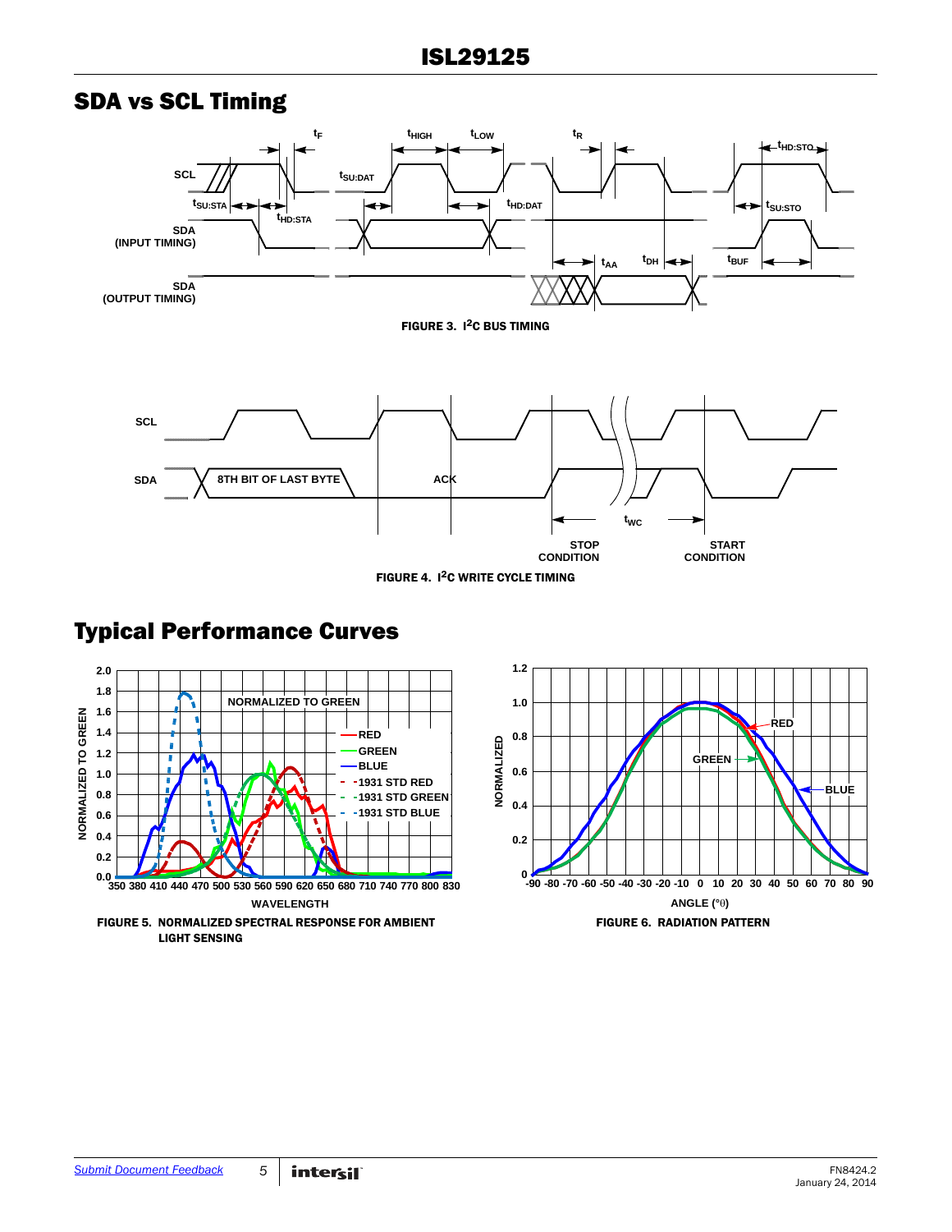## SDA vs SCL Timing



FIGURE 4. I2C WRITE CYCLE TIMING

## Typical Performance Curves



![](_page_4_Figure_6.jpeg)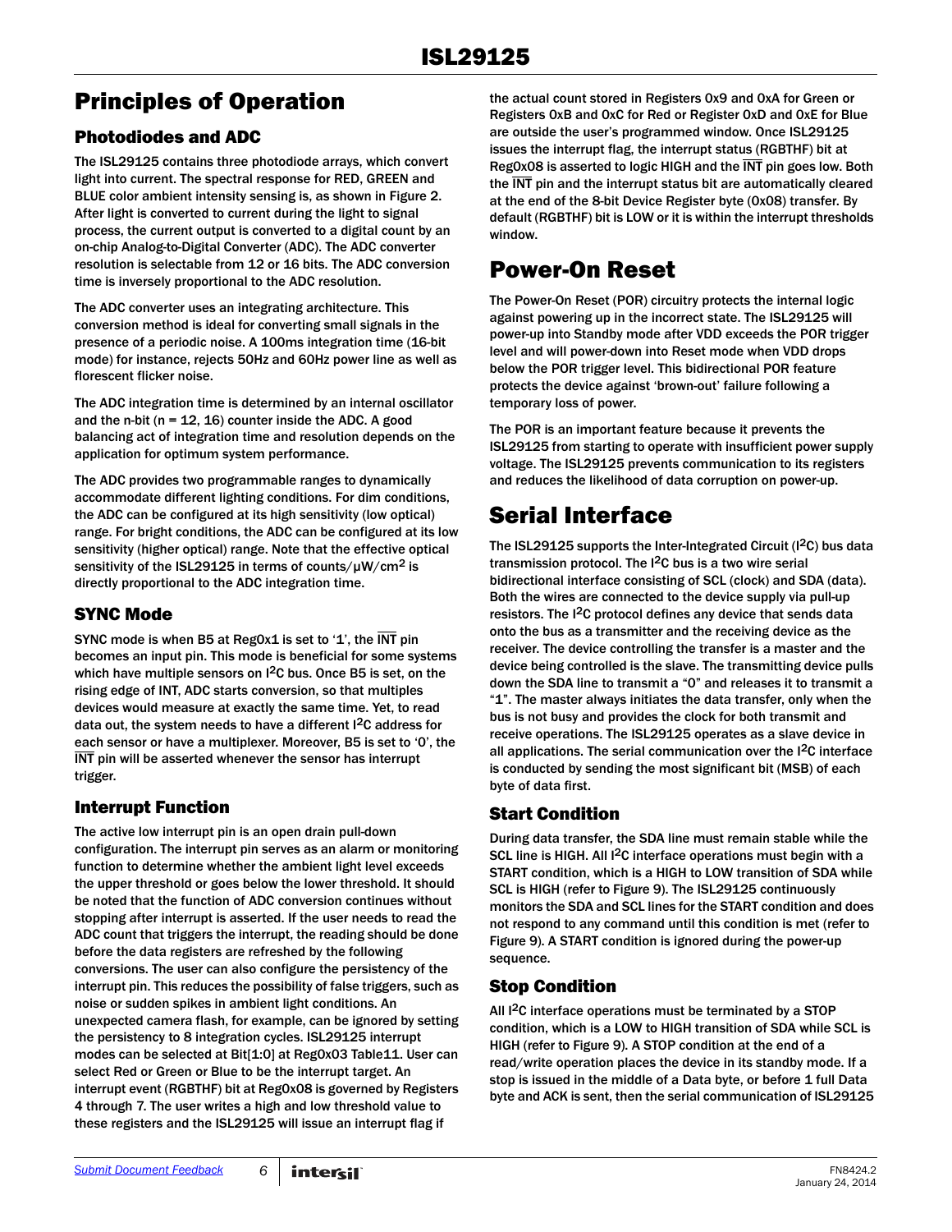## <span id="page-5-1"></span>Principles of Operation

## Photodiodes and ADC

The ISL29125 contains three photodiode arrays, which convert light into current. The spectral response for RED, GREEN and BLUE color ambient intensity sensing is, as shown in Figure [2](#page-0-0). After light is converted to current during the light to signal process, the current output is converted to a digital count by an on-chip Analog-to-Digital Converter (ADC). The ADC converter resolution is selectable from 12 or 16 bits. The ADC conversion time is inversely proportional to the ADC resolution.

The ADC converter uses an integrating architecture. This conversion method is ideal for converting small signals in the presence of a periodic noise. A 100ms integration time (16-bit mode) for instance, rejects 50Hz and 60Hz power line as well as florescent flicker noise.

The ADC integration time is determined by an internal oscillator and the n-bit ( $n = 12, 16$ ) counter inside the ADC. A good balancing act of integration time and resolution depends on the application for optimum system performance.

The ADC provides two programmable ranges to dynamically accommodate different lighting conditions. For dim conditions, the ADC can be configured at its high sensitivity (low optical) range. For bright conditions, the ADC can be configured at its low sensitivity (higher optical) range. Note that the effective optical sensitivity of the ISL29125 in terms of counts/ $\mu$ W/cm<sup>2</sup> is directly proportional to the ADC integration time.

### SYNC Mode

SYNC mode is when B5 at Reg0x1 is set to '1', the  $\overline{\text{INT}}$  pin becomes an input pin. This mode is beneficial for some systems which have multiple sensors on I<sup>2</sup>C bus. Once B5 is set, on the rising edge of INT, ADC starts conversion, so that multiples devices would measure at exactly the same time. Yet, to read data out, the system needs to have a different I<sup>2</sup>C address for each sensor or have a multiplexer. Moreover, B5 is set to '0', the INT pin will be asserted whenever the sensor has interrupt trigger.

## <span id="page-5-2"></span>Interrupt Function

The active low interrupt pin is an open drain pull-down configuration. The interrupt pin serves as an alarm or monitoring function to determine whether the ambient light level exceeds the upper threshold or goes below the lower threshold. It should be noted that the function of ADC conversion continues without stopping after interrupt is asserted. If the user needs to read the ADC count that triggers the interrupt, the reading should be done before the data registers are refreshed by the following conversions. The user can also configure the persistency of the interrupt pin. This reduces the possibility of false triggers, such as noise or sudden spikes in ambient light conditions. An unexpected camera flash, for example, can be ignored by setting the persistency to 8 integration cycles. ISL29125 interrupt modes can be selected at Bit[1:0] at Reg0x03 Table11. User can select Red or Green or Blue to be the interrupt target. An interrupt event (RGBTHF) bit at Reg0x08 is governed by Registers 4 through 7. The user writes a high and low threshold value to these registers and the ISL29125 will issue an interrupt flag if

the actual count stored in Registers 0x9 and 0xA for Green or Registers 0xB and 0xC for Red or Register 0xD and 0xE for Blue are outside the user's programmed window. Once ISL29125 issues the interrupt flag, the interrupt status (RGBTHF) bit at Reg0x08 is asserted to logic HIGH and the INT pin goes low. Both the INT pin and the interrupt status bit are automatically cleared at the end of the 8-bit Device Register byte (0x08) transfer. By default (RGBTHF) bit is LOW or it is within the interrupt thresholds window.

## Power-On Reset

The Power-On Reset (POR) circuitry protects the internal logic against powering up in the incorrect state. The ISL29125 will power-up into Standby mode after VDD exceeds the POR trigger level and will power-down into Reset mode when VDD drops below the POR trigger level. This bidirectional POR feature protects the device against 'brown-out' failure following a temporary loss of power.

The POR is an important feature because it prevents the ISL29125 from starting to operate with insufficient power supply voltage. The ISL29125 prevents communication to its registers and reduces the likelihood of data corruption on power-up.

## <span id="page-5-0"></span>Serial Interface

The ISL29125 supports the Inter-Integrated Circuit  $(1^2C)$  bus data transmission protocol. The I2C bus is a two wire serial bidirectional interface consisting of SCL (clock) and SDA (data). Both the wires are connected to the device supply via pull-up resistors. The I<sup>2</sup>C protocol defines any device that sends data onto the bus as a transmitter and the receiving device as the receiver. The device controlling the transfer is a master and the device being controlled is the slave. The transmitting device pulls down the SDA line to transmit a "0" and releases it to transmit a "1". The master always initiates the data transfer, only when the bus is not busy and provides the clock for both transmit and receive operations. The ISL29125 operates as a slave device in all applications. The serial communication over the I2C interface is conducted by sending the most significant bit (MSB) of each byte of data first.

## Start Condition

During data transfer, the SDA line must remain stable while the SCL line is HIGH. All I<sup>2</sup>C interface operations must begin with a START condition, which is a HIGH to LOW transition of SDA while SCL is HIGH (refer to Figure 9). The ISL29125 continuously monitors the SDA and SCL lines for the START condition and does not respond to any command until this condition is met (refer to Figure 9). A START condition is ignored during the power-up sequence.

## Stop Condition

All <sup>2</sup>C interface operations must be terminated by a STOP condition, which is a LOW to HIGH transition of SDA while SCL is HIGH (refer to Figure 9). A STOP condition at the end of a read/write operation places the device in its standby mode. If a stop is issued in the middle of a Data byte, or before 1 full Data byte and ACK is sent, then the serial communication of ISL29125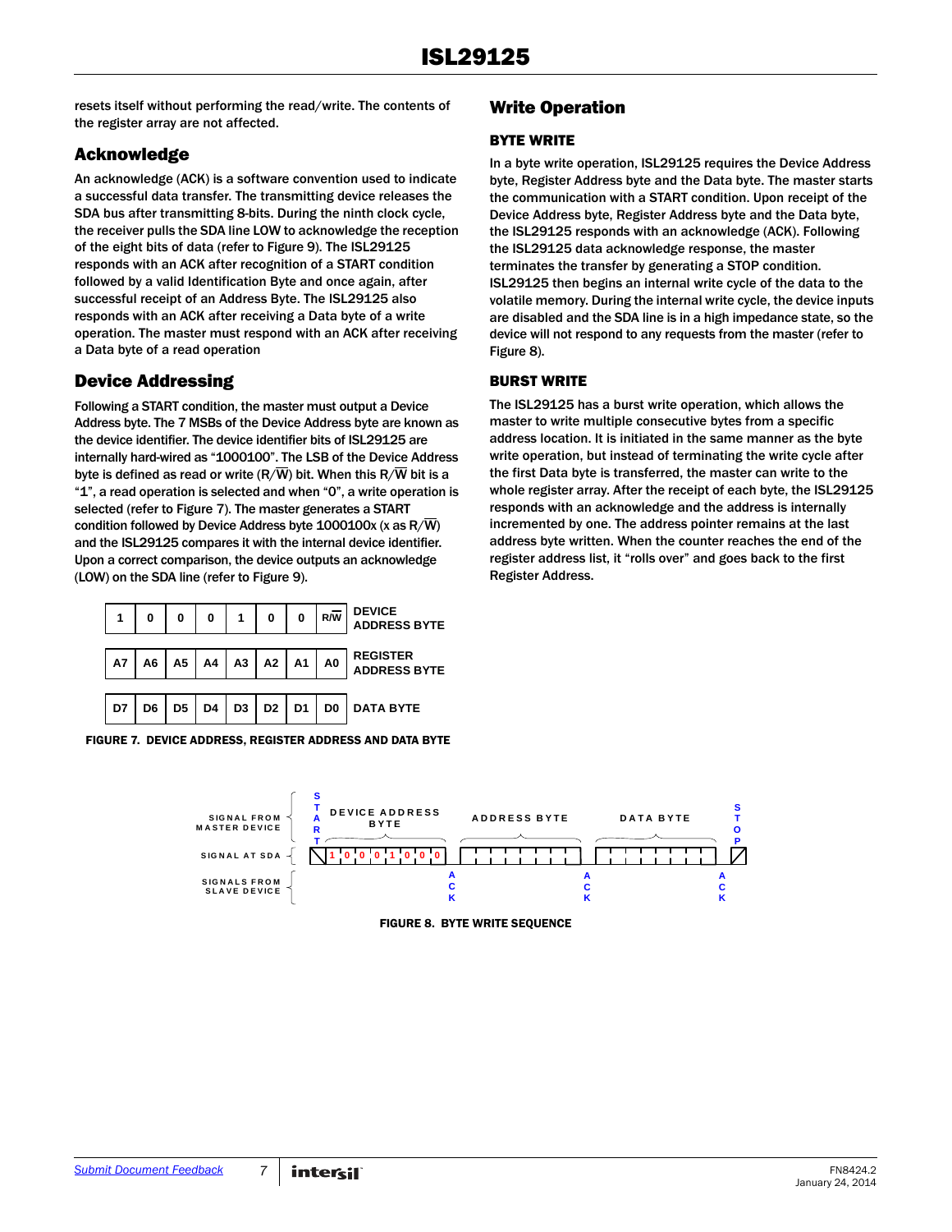resets itself without performing the read/write. The contents of the register array are not affected.

## Acknowledge

An acknowledge (ACK) is a software convention used to indicate a successful data transfer. The transmitting device releases the SDA bus after transmitting 8-bits. During the ninth clock cycle, the receiver pulls the SDA line LOW to acknowledge the reception of the eight bits of data (refer to Figure 9). The ISL29125 responds with an ACK after recognition of a START condition followed by a valid Identification Byte and once again, after successful receipt of an Address Byte. The ISL29125 also responds with an ACK after receiving a Data byte of a write operation. The master must respond with an ACK after receiving a Data byte of a read operation

## Device Addressing

Following a START condition, the master must output a Device Address byte. The 7 MSBs of the Device Address byte are known as the device identifier. The device identifier bits of ISL29125 are internally hard-wired as "1000100". The LSB of the Device Address byte is defined as read or write  $(R/\overline{W})$  bit. When this  $R/\overline{W}$  bit is a "1", a read operation is selected and when "0", a write operation is selected (refer to Figure [7](#page-6-1)). The master generates a START condition followed by Device Address byte 1000100x (x as R/W) and the ISL29125 compares it with the internal device identifier. Upon a correct comparison, the device outputs an acknowledge (LOW) on the SDA line (refer to Figure 9).

![](_page_6_Figure_6.jpeg)

<span id="page-6-1"></span>

|  | <b>FIGURE 7. DEVICE ADDRESS. REGISTER ADDRESS AND DATA BYTE</b> |  |  |
|--|-----------------------------------------------------------------|--|--|
|  |                                                                 |  |  |

### Write Operation

### BYTE WRITE

In a byte write operation, ISL29125 requires the Device Address byte, Register Address byte and the Data byte. The master starts the communication with a START condition. Upon receipt of the Device Address byte, Register Address byte and the Data byte, the ISL29125 responds with an acknowledge (ACK). Following the ISL29125 data acknowledge response, the master terminates the transfer by generating a STOP condition. ISL29125 then begins an internal write cycle of the data to the volatile memory. During the internal write cycle, the device inputs are disabled and the SDA line is in a high impedance state, so the device will not respond to any requests from the master (refer to Figure [8\)](#page-6-0).

### BURST WRITE

The ISL29125 has a burst write operation, which allows the master to write multiple consecutive bytes from a specific address location. It is initiated in the same manner as the byte write operation, but instead of terminating the write cycle after the first Data byte is transferred, the master can write to the whole register array. After the receipt of each byte, the ISL29125 responds with an acknowledge and the address is internally incremented by one. The address pointer remains at the last address byte written. When the counter reaches the end of the register address list, it "rolls over" and goes back to the first Register Address.

<span id="page-6-0"></span>![](_page_6_Figure_13.jpeg)

FIGURE 8. BYTE WRITE SEQUENCE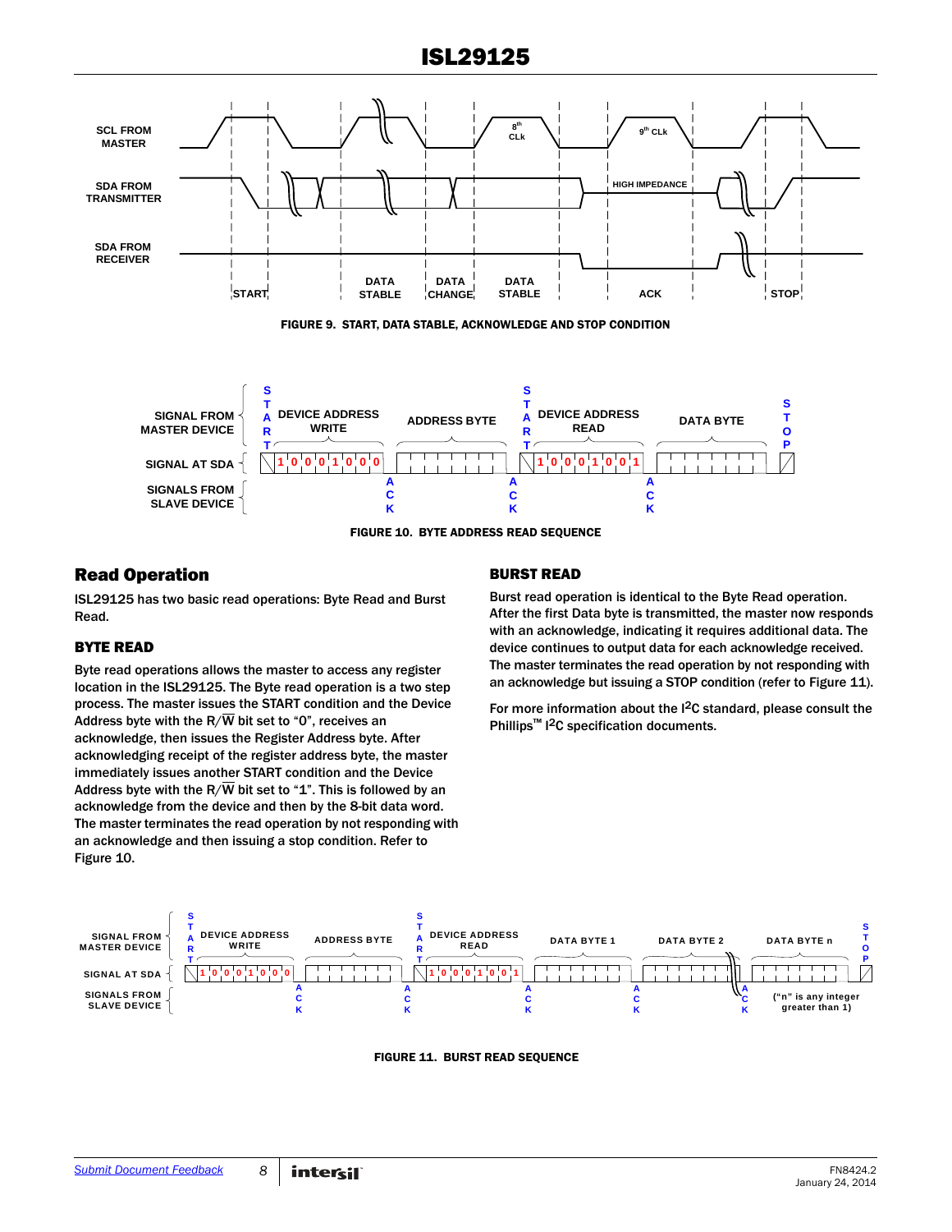![](_page_7_Figure_1.jpeg)

FIGURE 10. BYTE ADDRESS READ SEQUENCE

### <span id="page-7-0"></span>Read Operation

ISL29125 has two basic read operations: Byte Read and Burst Read.

#### BYTE READ

Byte read operations allows the master to access any register location in the ISL29125. The Byte read operation is a two step process. The master issues the START condition and the Device Address byte with the R/ $\overline{W}$  bit set to "0", receives an acknowledge, then issues the Register Address byte. After acknowledging receipt of the register address byte, the master immediately issues another START condition and the Device Address byte with the R/ $\overline{W}$  bit set to "1". This is followed by an acknowledge from the device and then by the 8-bit data word. The master terminates the read operation by not responding with an acknowledge and then issuing a stop condition. Refer to Figure [10.](#page-7-0)

### BURST READ

Burst read operation is identical to the Byte Read operation. After the first Data byte is transmitted, the master now responds with an acknowledge, indicating it requires additional data. The device continues to output data for each acknowledge received. The master terminates the read operation by not responding with an acknowledge but issuing a STOP condition (refer to Figure 11).

For more information about the I<sup>2</sup>C standard, please consult the Phillips<sup>™</sup> I<sup>2</sup>C specification documents.

![](_page_7_Figure_10.jpeg)

FIGURE 11. BURST READ SEQUENCE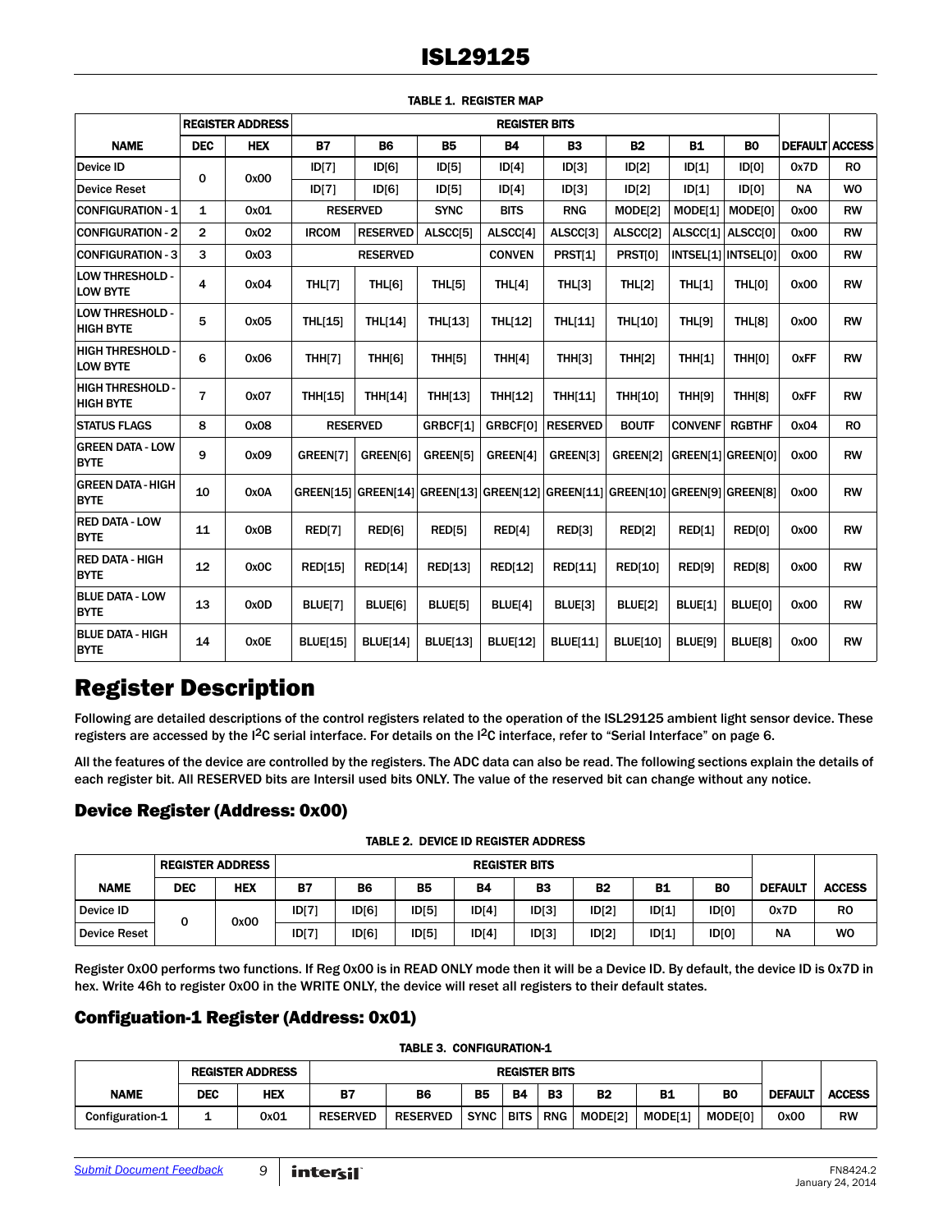|                                             |                | <b>REGISTER ADDRESS</b> |                 |                                                                               |                 | <b>REGISTER BITS</b> |                 |                 |                |                     |                       |                |
|---------------------------------------------|----------------|-------------------------|-----------------|-------------------------------------------------------------------------------|-----------------|----------------------|-----------------|-----------------|----------------|---------------------|-----------------------|----------------|
| <b>NAME</b>                                 | <b>DEC</b>     | <b>HEX</b>              | <b>B7</b>       | <b>B6</b>                                                                     | <b>B5</b>       | <b>B4</b>            | <b>B3</b>       | <b>B2</b>       | <b>B1</b>      | <b>BO</b>           | <b>DEFAULT ACCESS</b> |                |
| Device ID                                   | 0              | 0x00                    | ID[7]           | ID[6]                                                                         | ID[5]           | ID[4]                | D[3]            | ID[2]           | ID[1]          | D[0]                | 0x7D                  | R <sub>0</sub> |
| <b>Device Reset</b>                         |                |                         | ID[7]           | ID[6]                                                                         | ID[5]           | ID[4]                | D[3]            | ID[2]           | ID[1]          | D[0]                | <b>NA</b>             | <b>WO</b>      |
| <b>CONFIGURATION - 1</b>                    | 1              | 0x01                    |                 | <b>RESERVED</b>                                                               | <b>SYNC</b>     | <b>BITS</b>          | <b>RNG</b>      | MODE[2]         | MODE[1]        | MODE[0]             | 0x00                  | <b>RW</b>      |
| <b>CONFIGURATION - 2</b>                    | $\overline{2}$ | 0x02                    | <b>IRCOM</b>    | <b>RESERVED</b>                                                               | ALSCC[5]        | ALSCC[4]             | ALSCC[3]        | ALSCC[2]        | ALSCC[1]       | ALSCC[0]            | 0x00                  | <b>RW</b>      |
| <b>CONFIGURATION - 3</b>                    | 3              | 0x03                    |                 | <b>RESERVED</b>                                                               |                 | <b>CONVEN</b>        | PRST[1]         | PRST[0]         |                | INTSEL[1] INTSEL[0] | 0x00                  | <b>RW</b>      |
| <b>LOW THRESHOLD -</b><br><b>LOW BYTE</b>   | 4              | 0x04                    | <b>THL[7]</b>   | <b>THL[6]</b>                                                                 | THL[5]          | THL[4]               | THL[3]          | THL[2]          | <b>THL[1]</b>  | THL[0]              | 0x00                  | <b>RW</b>      |
| <b>LOW THRESHOLD -</b><br><b>HIGH BYTE</b>  | 5              | 0x05                    | <b>THL[15]</b>  | THL[14]                                                                       | <b>THL[13]</b>  | <b>THL[12]</b>       | THL[11]         | <b>THL[10]</b>  | <b>THL[9]</b>  | <b>THL[8]</b>       | 0x00                  | <b>RW</b>      |
| <b>HIGH THRESHOLD -</b><br><b>LOW BYTE</b>  | 6              | 0x06                    | <b>THH[7]</b>   | THH <sub>[6]</sub>                                                            | <b>THH[5]</b>   | THH[4]               | <b>THH[3]</b>   | <b>THH[2]</b>   | <b>THH[1]</b>  | THH[0]              | <b>OxFF</b>           | <b>RW</b>      |
| <b>HIGH THRESHOLD -</b><br><b>HIGH BYTE</b> | $\overline{7}$ | 0x07                    | <b>THH[15]</b>  | THH[14]                                                                       | <b>THH[13]</b>  | <b>THH[12]</b>       | <b>THH[11]</b>  | <b>THH[10]</b>  | <b>THH[9]</b>  | <b>THH[8]</b>       | <b>OxFF</b>           | <b>RW</b>      |
| <b>STATUS FLAGS</b>                         | 8              | 0x08                    |                 | <b>RESERVED</b>                                                               | GRBCF[1]        | GRBCF[0]             | <b>RESERVED</b> | <b>BOUTF</b>    | <b>CONVENF</b> | <b>RGBTHF</b>       | 0x04                  | R <sub>0</sub> |
| <b>GREEN DATA - LOW</b><br><b>BYTE</b>      | 9              | 0x09                    | GREEN[7]        | GREEN[6]                                                                      | GREEN[5]        | GREEN[4]             | GREEN[3]        | GREEN[2]        |                | GREEN[1] GREEN[0]   | 0x00                  | <b>RW</b>      |
| <b>GREEN DATA - HIGH</b><br><b>BYTE</b>     | 10             | 0x0A                    |                 | GREEN[15] GREEN[14] GREEN[13] GREEN[12] GREEN[11] GREEN[10] GREEN[9] GREEN[8] |                 |                      |                 |                 |                |                     | 0x00                  | <b>RW</b>      |
| <b>RED DATA - LOW</b><br><b>BYTE</b>        | 11             | 0x0B                    | RED[7]          | RED[6]                                                                        | RED[5]          | <b>RED[4]</b>        | <b>RED[3]</b>   | <b>RED[2]</b>   | RED[1]         | RED[0]              | 0x00                  | <b>RW</b>      |
| <b>RED DATA - HIGH</b><br><b>BYTE</b>       | 12             | 0x0C                    | <b>RED[15]</b>  | <b>RED[14]</b>                                                                | <b>RED[13]</b>  | <b>RED[12]</b>       | <b>RED[11]</b>  | <b>RED[10]</b>  | <b>RED[9]</b>  | <b>RED[8]</b>       | 0x00                  | <b>RW</b>      |
| <b>BLUE DATA - LOW</b><br><b>BYTE</b>       | 13             | 0x0D                    | BLUE[7]         | BLUE[6]                                                                       | BLUE[5]         | BLUE[4]              | BLUE[3]         | BLUE[2]         | BLUE[1]        | BLUE[0]             | 0x00                  | <b>RW</b>      |
| <b>BLUE DATA - HIGH</b><br><b>BYTE</b>      | 14             | <b>OxOE</b>             | <b>BLUE[15]</b> | <b>BLUE[14]</b>                                                               | <b>BLUE[13]</b> | <b>BLUE[12]</b>      | <b>BLUE[11]</b> | <b>BLUE[10]</b> | BLUE[9]        | BLUE[8]             | 0x00                  | <b>RW</b>      |

#### TABLE 1. REGISTER MAP

## Register Description

Following are detailed descriptions of the control registers related to the operation of the ISL29125 ambient light sensor device. These registers are accessed by the I2C serial interface. For details on the I2C interface, refer to ["Serial Interface" on page 6](#page-5-0).

All the features of the device are controlled by the registers. The ADC data can also be read. The following sections explain the details of each register bit. All RESERVED bits are Intersil used bits ONLY. The value of the reserved bit can change without any notice.

### Device Register (Address: 0x00)

|  | <b>TABLE 2. DEVICE ID REGISTER ADDRESS</b> |  |
|--|--------------------------------------------|--|
|  |                                            |  |

|                     |            | <b>REGISTER ADDRESS</b> |           | <b>REGISTER BITS</b> |           |           |           |           |           |                |                |                |
|---------------------|------------|-------------------------|-----------|----------------------|-----------|-----------|-----------|-----------|-----------|----------------|----------------|----------------|
| <b>NAME</b>         | <b>DEC</b> | <b>HEX</b>              | <b>B7</b> | <b>B6</b>            | <b>B5</b> | <b>B4</b> | <b>B3</b> | <b>B2</b> | <b>B1</b> | B <sub>0</sub> | <b>DEFAULT</b> | <b>ACCESS</b>  |
| Device ID           |            | 0x00                    | D[7]      | ID[6]                | ID[5]     | ID[4]     | D[3]      | D[2]      | ID[1]     | D[0]           | 0x7D           | R <sub>0</sub> |
| <b>Device Reset</b> |            |                         | ID[7]     | ID[6]                | ID[5]     | ID[4]     | D[3]      | ID[2]     | D[1]      | D[0]           | <b>NA</b>      | <b>WO</b>      |

Register 0x00 performs two functions. If Reg 0x00 is in READ ONLY mode then it will be a Device ID. By default, the device ID is 0x7D in hex. Write 46h to register 0x00 in the WRITE ONLY, the device will reset all registers to their default states.

### Configuation-1 Register (Address: 0x01)

#### TABLE 3. CONFIGURATION-1

|                 | <b>REGISTER ADDRESS</b> |      | <b>REGISTER BITS</b> |                 |             |             |            |                     |           |                |                |               |
|-----------------|-------------------------|------|----------------------|-----------------|-------------|-------------|------------|---------------------|-----------|----------------|----------------|---------------|
| <b>NAME</b>     | DEC                     | HEX  | B7                   | <b>B6</b>       | В5          | <b>B4</b>   | В3         | В2                  | <b>B1</b> | BC             | <b>DEFAULT</b> | <b>ACCESS</b> |
| Configuration-1 | -                       | 0x01 | <b>RESERVED</b>      | <b>RESERVED</b> | <b>SYNC</b> | <b>BITS</b> | <b>RNG</b> | MODE <sub>[2]</sub> | MODE[1]   | <b>MODE[0]</b> | 0x00           | <b>RW</b>     |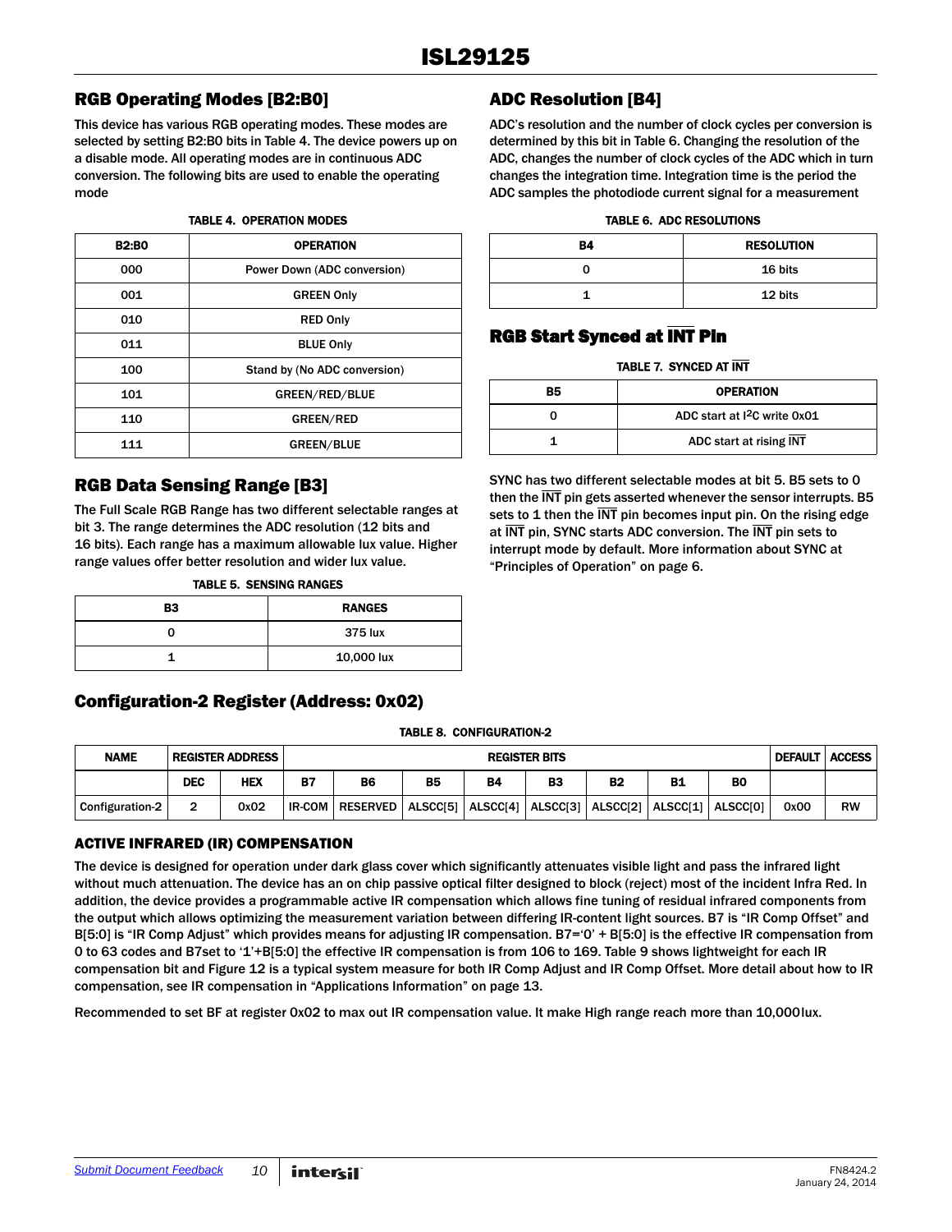## RGB Operating Modes [B2:B0]

This device has various RGB operating modes. These modes are selected by setting B2:B0 bits in Table [4.](#page-9-0) The device powers up on a disable mode. All operating modes are in continuous ADC conversion. The following bits are used to enable the operating mode

#### TABLE 4. OPERATION MODES

<span id="page-9-0"></span>

| <b>B2:B0</b> | <b>OPERATION</b>             |
|--------------|------------------------------|
| 000          | Power Down (ADC conversion)  |
| 001          | <b>GREEN Only</b>            |
| 010          | <b>RED Only</b>              |
| 011          | <b>BLUE Only</b>             |
| 100          | Stand by (No ADC conversion) |
| 101          | GREEN/RED/BLUE               |
| 110          | <b>GREEN/RED</b>             |
| 111          | <b>GREEN/BLUE</b>            |

### RGB Data Sensing Range [B3]

The Full Scale RGB Range has two different selectable ranges at bit 3. The range determines the ADC resolution (12 bits and 16 bits). Each range has a maximum allowable lux value. Higher range values offer better resolution and wider lux value.

|  | TABLE 5.  SENSING RANGES |  |
|--|--------------------------|--|
|  |                          |  |

| B <sub>3</sub> | <b>RANGES</b> |
|----------------|---------------|
|                | 375 lux       |
|                | 10,000 lux    |

### Configuration-2 Register (Address: 0x02)

## ADC Resolution [B4]

ADC's resolution and the number of clock cycles per conversion is determined by this bit in Table [6](#page-9-1). Changing the resolution of the ADC, changes the number of clock cycles of the ADC which in turn changes the integration time. Integration time is the period the ADC samples the photodiode current signal for a measurement

#### TABLE 6. ADC RESOLUTIONS

<span id="page-9-1"></span>

| <b>B4</b> | <b>RESOLUTION</b> |
|-----------|-------------------|
| U         | 16 bits           |
|           | 12 bits           |

## RGB Start Synced at INT Pin

#### TABLE 7. SYNCED AT INT

| <b>B5</b> | <b>OPERATION</b>              |
|-----------|-------------------------------|
|           | ADC start at $12C$ write 0x01 |
|           | ADC start at rising INT       |

SYNC has two different selectable modes at bit 5. B5 sets to 0 then the INT pin gets asserted whenever the sensor interrupts. B5 sets to 1 then the  $\overline{\text{INT}}$  pin becomes input pin. On the rising edge at INT pin, SYNC starts ADC conversion. The INT pin sets to interrupt mode by default. More information about SYNC at ["Principles of Operation" on page 6](#page-5-1).

#### TABLE 8. CONFIGURATION-2

| <b>NAME</b>            | <b>REGISTER ADDRESS</b> |      |           | <b>REGISTER BITS</b> |           |                     |    |                     |           | <b>DEFAULT   ACCESS  </b> |      |           |
|------------------------|-------------------------|------|-----------|----------------------|-----------|---------------------|----|---------------------|-----------|---------------------------|------|-----------|
|                        | <b>DEC</b>              | HEX  | <b>B7</b> | B6                   | <b>B5</b> | <b>B4</b>           | B3 | <b>B2</b>           | <b>B1</b> | BO                        |      |           |
| <b>Configuration-2</b> |                         | 0x02 | IR-COM    | <b>RESERVED</b>      | ALSCC[5]  | ALSCC[4]   ALSCC[3] |    | ALSCC[2]   ALSCC[1] |           | <b>ALSCCIOI</b>           | 0x00 | <b>RW</b> |

### ACTIVE INFRARED (IR) COMPENSATION

The device is designed for operation under dark glass cover which significantly attenuates visible light and pass the infrared light without much attenuation. The device has an on chip passive optical filter designed to block (reject) most of the incident Infra Red. In addition, the device provides a programmable active IR compensation which allows fine tuning of residual infrared components from the output which allows optimizing the measurement variation between differing IR-content light sources. B7 is "IR Comp Offset" and B[5:0] is "IR Comp Adjust" which provides means for adjusting IR compensation. B7='0' + B[5:0] is the effective IR compensation from 0 to 63 codes and B7set to '1'+B[5:0] the effective IR compensation is from 106 to 169. Table [9](#page-10-1) shows lightweight for each IR compensation bit and Figure [12](#page-10-2) is a typical system measure for both IR Comp Adjust and IR Comp Offset. More detail about how to IR compensation, see IR compensation in ["Applications Information" on page 13](#page-12-0).

Recommended to set BF at register 0x02 to max out IR compensation value. It make High range reach more than 10,000lux.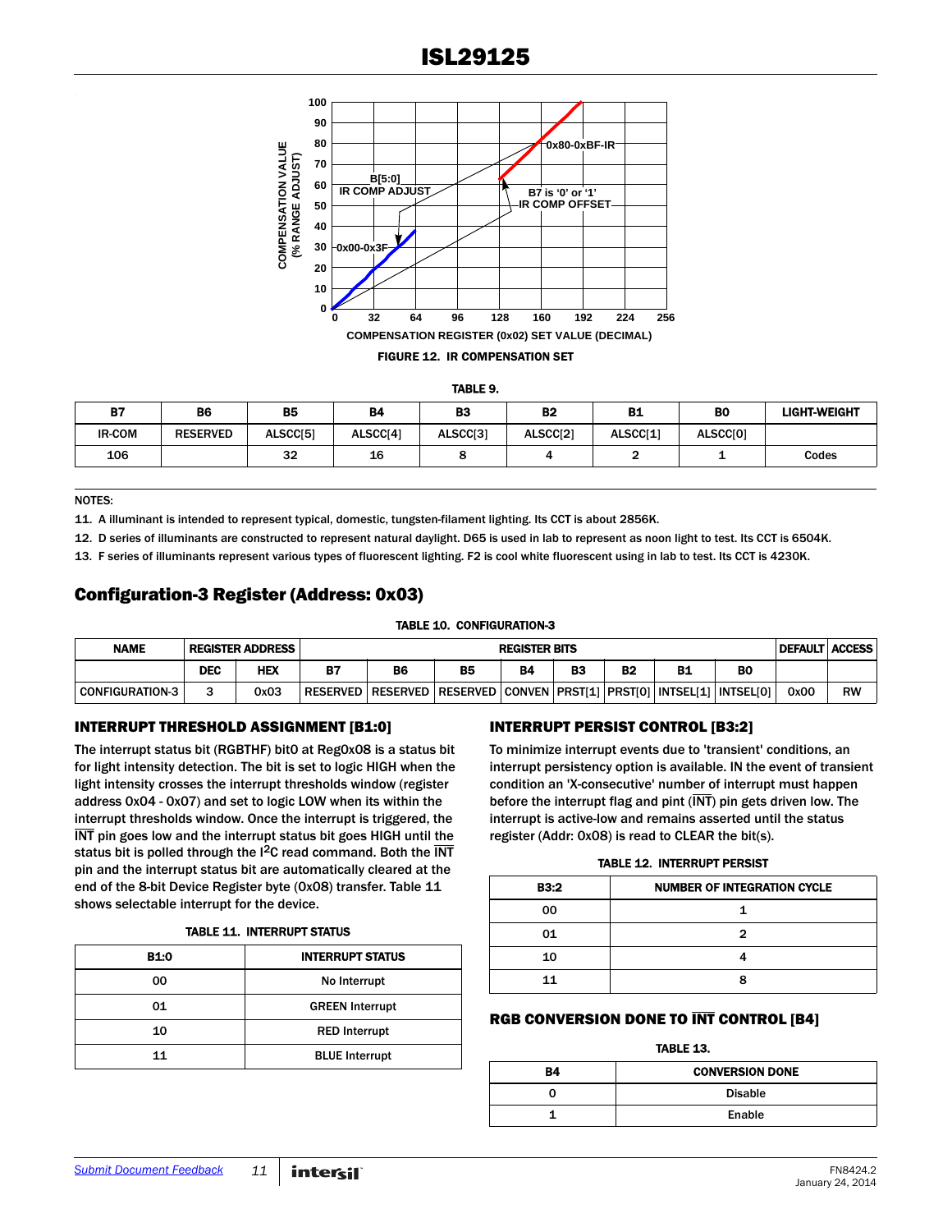![](_page_10_Figure_1.jpeg)

<span id="page-10-2"></span>

|--|

<span id="page-10-1"></span>

| <b>B7</b>     | <b>B6</b>       | <b>B5</b> | <b>B4</b> | B3       | <b>B2</b> | <b>B1</b> | <b>BO</b> | <b>LIGHT-WEIGHT</b> |
|---------------|-----------------|-----------|-----------|----------|-----------|-----------|-----------|---------------------|
| <b>IR-COM</b> | <b>RESERVED</b> | ALSCC[5]  | ALSCC[4]  | ALSCC[3] | ALSCC[2]  | ALSCC[1]  | ALSCC[0]  |                     |
| 106           |                 | 32        | 16        |          |           |           | --        | Codes               |

NOTES:

<span id="page-10-0"></span>11. A illuminant is intended to represent typical, domestic, tungsten-filament lighting. Its CCT is about 2856K.

<span id="page-10-4"></span>12. D series of illuminants are constructed to represent natural daylight. D65 is used in lab to represent as noon light to test. Its CCT is 6504K.

<span id="page-10-5"></span>13. F series of illuminants represent various types of fluorescent lighting. F2 is cool white fluorescent using in lab to test. Its CCT is 4230K.

### Configuration-3 Register (Address: 0x03)

| <b>NAME</b>            |            | <b>REGISTER ADDRESS</b> |                 |    |                                                                          | <b>REGISTER BITS</b> |    |           |    | <b>DEFAULT ACCESS</b> |           |
|------------------------|------------|-------------------------|-----------------|----|--------------------------------------------------------------------------|----------------------|----|-----------|----|-----------------------|-----------|
|                        | <b>DEC</b> | HEX                     | <b>B7</b>       | B6 | <b>B5</b>                                                                | <b>B4</b>            | BЗ | <b>B2</b> | B0 |                       |           |
| <b>CONFIGURATION-3</b> |            | 0x03                    | <b>RESERVED</b> |    | RESERVED   RESERVED   CONVEN   PRST[1]   PRST[0]   INTSEL[1]   INTSEL[0] |                      |    |           |    | 0x00                  | <b>RW</b> |

#### INTERRUPT THRESHOLD ASSIGNMENT [B1:0]

The interrupt status bit (RGBTHF) bit0 at Reg0x08 is a status bit for light intensity detection. The bit is set to logic HIGH when the light intensity crosses the interrupt thresholds window (register address 0x04 - 0x07) and set to logic LOW when its within the interrupt thresholds window. Once the interrupt is triggered, the INT pin goes low and the interrupt status bit goes HIGH until the status bit is polled through the  $I^2C$  read command. Both the  $\overline{INT}$ pin and the interrupt status bit are automatically cleared at the end of the 8-bit Device Register byte (0x08) transfer. Table [11](#page-10-3)  shows selectable interrupt for the device.

|  | TABLE 11.  INTERRUPT STATUS |  |
|--|-----------------------------|--|
|  |                             |  |

<span id="page-10-3"></span>

| <b>B1:0</b> | <b>INTERRUPT STATUS</b> |
|-------------|-------------------------|
| 00          | No Interrupt            |
| 01          | <b>GREEN Interrupt</b>  |
| 10          | <b>RED Interrupt</b>    |
| 11          | <b>BLUE</b> Interrupt   |

#### INTERRUPT PERSIST CONTROL [B3:2]

To minimize interrupt events due to 'transient' conditions, an interrupt persistency option is available. IN the event of transient condition an 'X-consecutive' number of interrupt must happen before the interrupt flag and pint  $(\overline{\text{INT}})$  pin gets driven low. The interrupt is active-low and remains asserted until the status register (Addr: 0x08) is read to CLEAR the bit(s).

#### TABLE 12. INTERRUPT PERSIST

| <b>B3:2</b> | <b>NUMBER OF INTEGRATION CYCLE</b> |
|-------------|------------------------------------|
| 00          |                                    |
| 01          |                                    |
| 10          |                                    |
| 11          | я                                  |

### RGB CONVERSION DONE TO INT CONTROL [B4]

#### TABLE 13.

| Β4 | <b>CONVERSION DONE</b> |
|----|------------------------|
| U  | <b>Disable</b>         |
|    | Enable                 |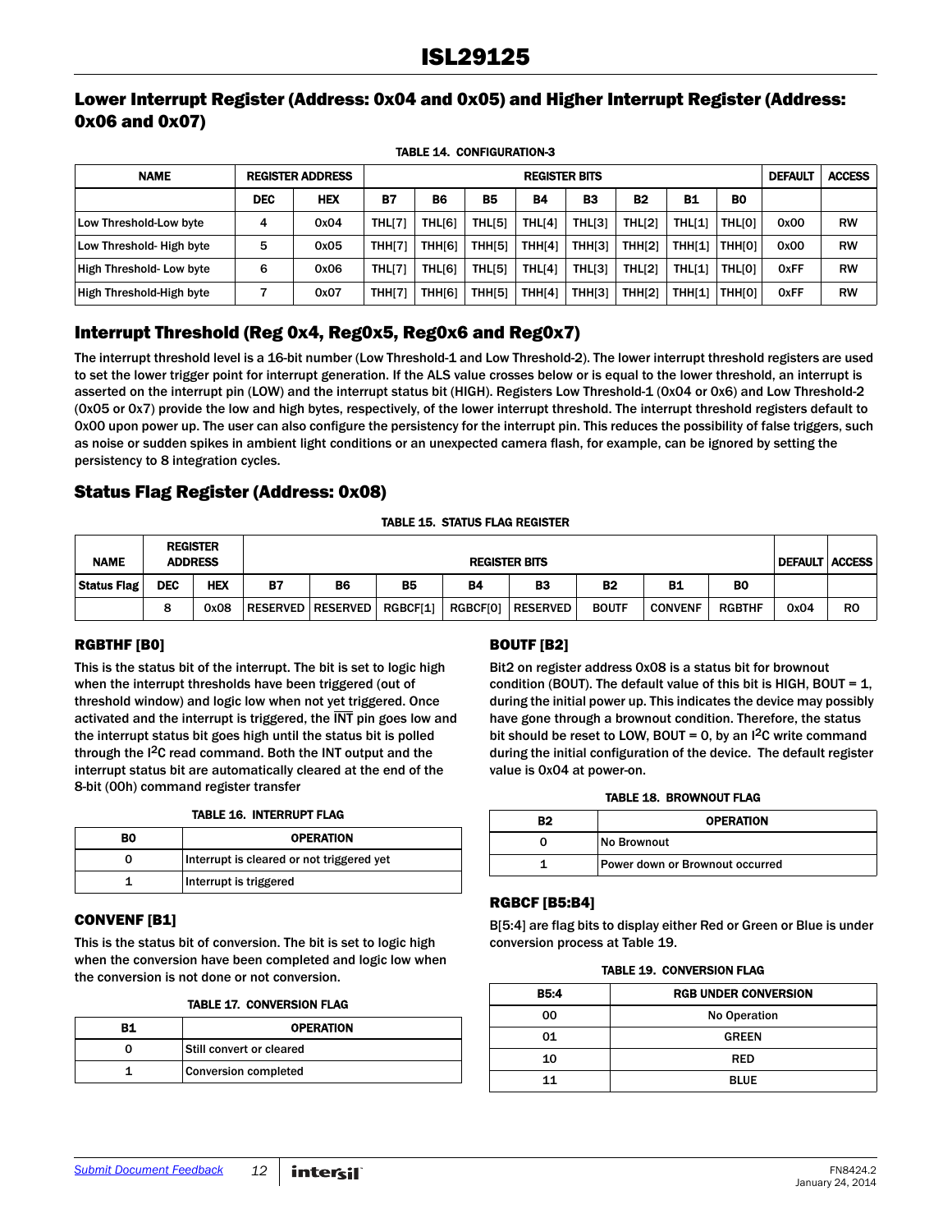### Lower Interrupt Register (Address: 0x04 and 0x05) and Higher Interrupt Register (Address: 0x06 and 0x07)

TABLE 14. CONFIGURATION-3

| <b>NAME</b>              | <b>REGISTER ADDRESS</b> |            | <b>REGISTER BITS</b> |        |                    |                    |               |                |               |                | <b>DEFAULT</b> | <b>ACCESS</b> |
|--------------------------|-------------------------|------------|----------------------|--------|--------------------|--------------------|---------------|----------------|---------------|----------------|----------------|---------------|
|                          | <b>DEC</b>              | <b>HEX</b> | <b>B7</b>            | B6     | <b>B5</b>          | <b>B4</b>          | B3            | B <sub>2</sub> | <b>B1</b>     | B <sub>0</sub> |                |               |
| Low Threshold-Low byte   | 4                       | 0x04       | <b>THL[7]</b>        | THL[6] | THL[5]             | THL[4]             | THL[3]        | <b>THL[2]</b>  | THL[1]        | <b>THLIO1</b>  | 0x00           | <b>RW</b>     |
| Low Threshold- High byte | 5                       | 0x05       | <b>THH[7]</b>        | THH[6] | THH <sub>[5]</sub> | THH[4]             | <b>THH[3]</b> | <b>THH[2]</b>  | THHI11        | <b>THHIOI</b>  | 0x00           | <b>RW</b>     |
| High Threshold- Low byte | 6                       | 0x06       | <b>THL[7]</b>        | THLI61 | THL[5]             | THL <sub>[4]</sub> | THL[3]        | <b>THL[2]</b>  | THL[1]        | <b>THLIO1</b>  | <b>OxFF</b>    | <b>RW</b>     |
| High Threshold-High byte |                         | 0x07       | <b>THH[7]</b>        | THH[6] | THH <sub>[5]</sub> | THH[4]             | <b>THH[3]</b> | <b>THH[2]</b>  | <b>THH[1]</b> | <b>THHIOI</b>  | <b>OxFF</b>    | <b>RW</b>     |

## Interrupt Threshold (Reg 0x4, Reg0x5, Reg0x6 and Reg0x7)

The interrupt threshold level is a 16-bit number (Low Threshold-1 and Low Threshold-2). The lower interrupt threshold registers are used to set the lower trigger point for interrupt generation. If the ALS value crosses below or is equal to the lower threshold, an interrupt is asserted on the interrupt pin (LOW) and the interrupt status bit (HIGH). Registers Low Threshold-1 (0x04 or 0x6) and Low Threshold-2 (0x05 or 0x7) provide the low and high bytes, respectively, of the lower interrupt threshold. The interrupt threshold registers default to 0x00 upon power up. The user can also configure the persistency for the interrupt pin. This reduces the possibility of false triggers, such as noise or sudden spikes in ambient light conditions or an unexpected camera flash, for example, can be ignored by setting the persistency to 8 integration cycles.

## Status Flag Register (Address: 0x08)

#### TABLE 15. STATUS FLAG REGISTER

| <b>NAME</b>        |            | <b>REGISTER</b><br><b>ADDRESS</b> |           | <b>REGISTER BITS</b>     |           |           |                     |              | <b>DEFAULT ACCESS</b> |               |      |                |
|--------------------|------------|-----------------------------------|-----------|--------------------------|-----------|-----------|---------------------|--------------|-----------------------|---------------|------|----------------|
| <b>Status Flag</b> | <b>DEC</b> | <b>HEX</b>                        | <b>B7</b> | <b>B6</b>                | <b>B5</b> | <b>B4</b> | <b>B3</b>           | <b>B2</b>    | <b>B1</b>             | <b>BO</b>     |      |                |
|                    | 8          | 0x08                              |           | <b>RESERVED RESERVED</b> | RGBCF[1]  |           | RGBCF[0]   RESERVED | <b>BOUTF</b> | <b>CONVENF</b>        | <b>RGBTHF</b> | 0x04 | R <sub>0</sub> |

#### RGBTHF [B0]

This is the status bit of the interrupt. The bit is set to logic high when the interrupt thresholds have been triggered (out of threshold window) and logic low when not yet triggered. Once activated and the interrupt is triggered, the INT pin goes low and the interrupt status bit goes high until the status bit is polled through the I2C read command. Both the INT output and the interrupt status bit are automatically cleared at the end of the 8-bit (00h) command register transfer

#### TABLE 16. INTERRUPT FLAG

| BO | <b>OPERATION</b>                          |
|----|-------------------------------------------|
|    | Interrupt is cleared or not triggered yet |
|    | Interrupt is triggered                    |

#### CONVENF [B1]

This is the status bit of conversion. The bit is set to logic high when the conversion have been completed and logic low when the conversion is not done or not conversion.

|  | <b>TABLE 17. CONVERSION FLAG</b> |  |
|--|----------------------------------|--|
|  |                                  |  |

| в1 | <b>OPERATION</b>            |
|----|-----------------------------|
|    | Still convert or cleared    |
|    | <b>Conversion completed</b> |

### BOUTF [B2]

Bit2 on register address 0x08 is a status bit for brownout condition (BOUT). The default value of this bit is HIGH, BOUT =  $1$ , during the initial power up. This indicates the device may possibly have gone through a brownout condition. Therefore, the status bit should be reset to LOW, BOUT = 0, by an  $1^2C$  write command during the initial configuration of the device. The default register value is 0x04 at power-on.

#### TABLE 18. BROWNOUT FLAG

| В2 | <b>OPERATION</b>                |
|----|---------------------------------|
|    | No Brownout                     |
|    | Power down or Brownout occurred |

#### RGBCF [B5:B4]

B[5:4] are flag bits to display either Red or Green or Blue is under conversion process at Table [19.](#page-11-0)

<span id="page-11-0"></span>

| B5:4 | <b>RGB UNDER CONVERSION</b> |
|------|-----------------------------|
| 00   | No Operation                |
| 01   | <b>GREEN</b>                |
| 10   | <b>RED</b>                  |
| 11   | <b>BLUE</b>                 |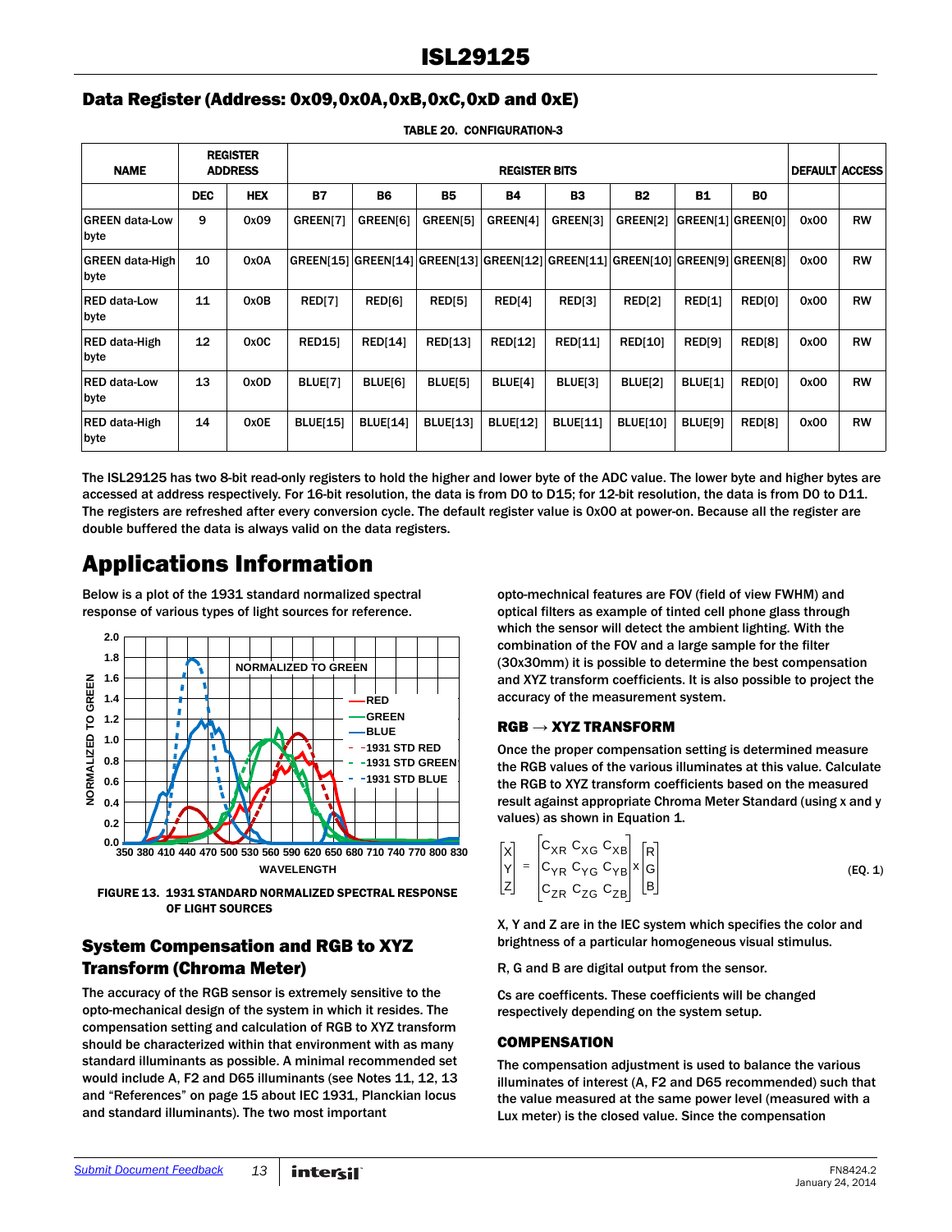## Data Register (Address: 0x09,0x0A,0xB,0xC,0xD and 0xE)

<span id="page-12-2"></span>

| <b>NAME</b>                    | <b>REGISTER</b><br><b>ADDRESS</b> |            |                 | <b>DEFAULT ACCESS</b> |                 |                                         |                              |                 |           |                   |      |           |
|--------------------------------|-----------------------------------|------------|-----------------|-----------------------|-----------------|-----------------------------------------|------------------------------|-----------------|-----------|-------------------|------|-----------|
|                                | <b>DEC</b>                        | <b>HEX</b> | <b>B7</b>       | <b>B6</b>             | <b>B5</b>       | <b>B4</b>                               | <b>B3</b>                    | <b>B2</b>       | <b>B1</b> | <b>BO</b>         |      |           |
| <b>GREEN data-Low</b><br>byte  | 9                                 | 0x09       | GREEN[7]        | GREEN[6]              | GREEN[5]        | GREEN[4]                                | GREEN[3]                     | GREEN[2]        |           | GREEN[1] GREEN[0] | 0x00 | <b>RW</b> |
| <b>GREEN data-High</b><br>byte | 10                                | 0x0A       |                 |                       |                 | GREEN[15] GREEN[14] GREEN[13] GREEN[12] | GREEN[11] GREEN[10] GREEN[9] |                 |           | <b>GREENIST</b>   | 0x00 | <b>RW</b> |
| <b>RED data-Low</b><br>byte    | 11                                | 0x0B       | RED[7]          | RED[6]                | RED[5]          | RED[4]                                  | RED[3]                       | RED[2]          | RED[1]    | RED[0]            | 0x00 | <b>RW</b> |
| RED data-High<br>byte          | 12                                | 0x0C       | <b>RED151</b>   | <b>RED[14]</b>        | <b>RED[13]</b>  | <b>RED[12]</b>                          | <b>RED[11]</b>               | <b>RED[10]</b>  | RED[9]    | RED[8]            | 0x00 | <b>RW</b> |
| <b>RED data-Low</b><br>byte    | 13                                | 0x0D       | <b>BLUE[7]</b>  | BLUE[6]               | BLUE[5]         | BLUE[4]                                 | BLUE[3]                      | BLUE[2]         | BLUE[1]   | RED[0]            | 0x00 | <b>RW</b> |
| RED data-High<br>byte          | 14                                | 0x0E       | <b>BLUE[15]</b> | <b>BLUE[14]</b>       | <b>BLUE[13]</b> | <b>BLUE[12]</b>                         | <b>BLUE[11]</b>              | <b>BLUE[10]</b> | BLUE[9]   | <b>RED[8]</b>     | 0x00 | <b>RW</b> |

TABLE 20. CONFIGURATION-3

The ISL29125 has two 8-bit read-only registers to hold the higher and lower byte of the ADC value. The lower byte and higher bytes are accessed at address respectively. For 16-bit resolution, the data is from D0 to D15; for 12-bit resolution, the data is from D0 to D11. The registers are refreshed after every conversion cycle. The default register value is 0x00 at power-on. Because all the register are double buffered the data is always valid on the data registers.

## <span id="page-12-0"></span>Applications Information

Below is a plot of the 1931 standard normalized spectral response of various types of light sources for reference.

![](_page_12_Figure_7.jpeg)

FIGURE 13. 1931 STANDARD NORMALIZED SPECTRAL RESPONSE OF LIGHT SOURCES

## System Compensation and RGB to XYZ Transform (Chroma Meter)

The accuracy of the RGB sensor is extremely sensitive to the opto-mechanical design of the system in which it resides. The compensation setting and calculation of RGB to XYZ transform should be characterized within that environment with as many standard illuminants as possible. A minimal recommended set would include A, F2 and D65 illuminants (see Notes [11](#page-10-0), [12](#page-10-4), [13](#page-10-5) and ["References" on page 15](#page-14-0) about IEC 1931, Planckian locus and standard illuminants). The two most important

opto-mechnical features are FOV (field of view FWHM) and optical filters as example of tinted cell phone glass through which the sensor will detect the ambient lighting. With the combination of the FOV and a large sample for the filter (30x30mm) it is possible to determine the best compensation and XYZ transform coefficients. It is also possible to project the accuracy of the measurement system.

### $RGB \rightarrow XYZ$  TRANSFORM

Once the proper compensation setting is determined measure the RGB values of the various illuminates at this value. Calculate the RGB to XYZ transform coefficients based on the measured result against appropriate Chroma Meter Standard (using x and y values) as shown in Equation [1.](#page-12-1)

<span id="page-12-1"></span>
$$
X = \begin{bmatrix} C_{XR} & C_{XG} & C_{XB} \\ C_{YR} & C_{YG} & C_{YB} \\ C_{ZR} & C_{ZG} & C_{ZB} \end{bmatrix} \times \begin{bmatrix} R \\ G \\ B \end{bmatrix}
$$
 (EQ. 1)

X, Y and Z are in the IEC system which specifies the color and brightness of a particular homogeneous visual stimulus.

R, G and B are digital output from the sensor.

Cs are coefficents. These coefficients will be changed respectively depending on the system setup.

#### **COMPENSATION**

The compensation adjustment is used to balance the various illuminates of interest (A, F2 and D65 recommended) such that the value measured at the same power level (measured with a Lux meter) is the closed value. Since the compensation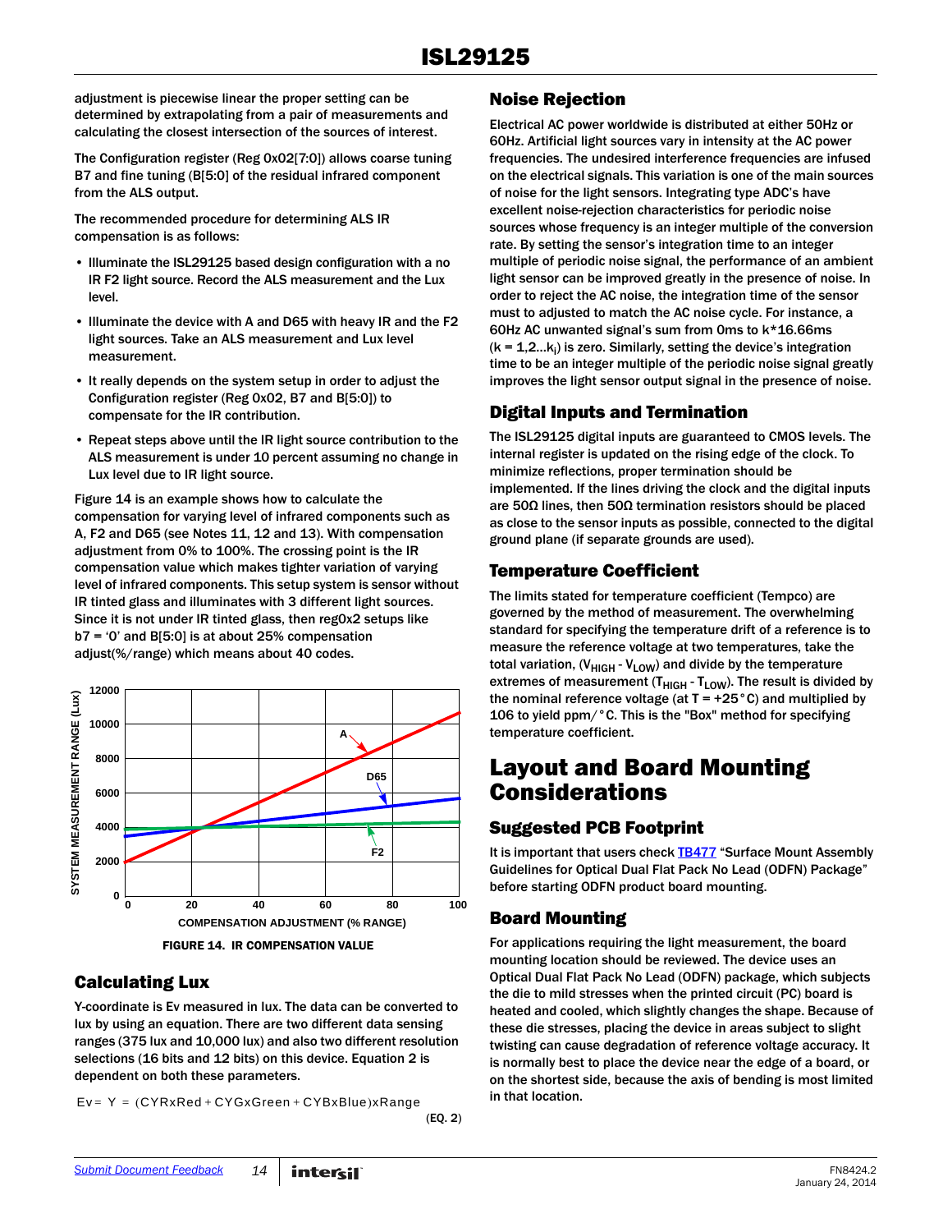adjustment is piecewise linear the proper setting can be determined by extrapolating from a pair of measurements and calculating the closest intersection of the sources of interest.

The Configuration register (Reg 0x02[7:0]) allows coarse tuning B7 and fine tuning (B[5:0] of the residual infrared component from the ALS output.

The recommended procedure for determining ALS IR compensation is as follows:

- Illuminate the ISL29125 based design configuration with a no IR F2 light source. Record the ALS measurement and the Lux level.
- Illuminate the device with A and D65 with heavy IR and the F2 light sources. Take an ALS measurement and Lux level measurement.
- It really depends on the system setup in order to adjust the Configuration register (Reg 0x02, B7 and B[5:0]) to compensate for the IR contribution.
- Repeat steps above until the IR light source contribution to the ALS measurement is under 10 percent assuming no change in Lux level due to IR light source.

Figure 14 is an example shows how to calculate the compensation for varying level of infrared components such as A, F2 and D65 (see Notes [11,](#page-10-0) [12](#page-10-4) and [13\)](#page-10-5). With compensation adjustment from 0% to 100%. The crossing point is the IR compensation value which makes tighter variation of varying level of infrared components. This setup system is sensor without IR tinted glass and illuminates with 3 different light sources. Since it is not under IR tinted glass, then reg0x2 setups like  $b7 = 0$ ' and B[5:0] is at about 25% compensation adjust(%/range) which means about 40 codes.

![](_page_13_Figure_9.jpeg)

FIGURE 14. IR COMPENSATION VALUE

## Calculating Lux

Y-coordinate is Ev measured in lux. The data can be converted to lux by using an equation. There are two different data sensing ranges (375 lux and 10,000 lux) and also two different resolution selections (16 bits and 12 bits) on this device. Equation [2](#page-13-0) is dependent on both these parameters.

 $Ev = Y = (CYRxRed + CYGxGreen + CYBxBlue)xRange$ 

<span id="page-13-0"></span>(EQ. 2)

### Noise Rejection

Electrical AC power worldwide is distributed at either 50Hz or 60Hz. Artificial light sources vary in intensity at the AC power frequencies. The undesired interference frequencies are infused on the electrical signals. This variation is one of the main sources of noise for the light sensors. Integrating type ADC's have excellent noise-rejection characteristics for periodic noise sources whose frequency is an integer multiple of the conversion rate. By setting the sensor's integration time to an integer multiple of periodic noise signal, the performance of an ambient light sensor can be improved greatly in the presence of noise. In order to reject the AC noise, the integration time of the sensor must to adjusted to match the AC noise cycle. For instance, a 60Hz AC unwanted signal's sum from 0ms to k\*16.66ms ( $k = 1, 2...k_i$ ) is zero. Similarly, setting the device's integration time to be an integer multiple of the periodic noise signal greatly improves the light sensor output signal in the presence of noise.

### Digital Inputs and Termination

The ISL29125 digital inputs are guaranteed to CMOS levels. The internal register is updated on the rising edge of the clock. To minimize reflections, proper termination should be implemented. If the lines driving the clock and the digital inputs are 50Ω lines, then 50Ω termination resistors should be placed as close to the sensor inputs as possible, connected to the digital ground plane (if separate grounds are used).

### Temperature Coefficient

The limits stated for temperature coefficient (Tempco) are governed by the method of measurement. The overwhelming standard for specifying the temperature drift of a reference is to measure the reference voltage at two temperatures, take the total variation,  $(V_{HIGH} - V_{LOW})$  and divide by the temperature extremes of measurement  $(T_{HIGH} - T_{LOW})$ . The result is divided by the nominal reference voltage (at  $T = +25^{\circ}$ C) and multiplied by 106 to yield ppm/°C. This is the "Box" method for specifying temperature coefficient.

## Layout and Board Mounting Considerations

## Suggested PCB Footprint

It is important that users check **TB477** "Surface Mount Assembly Guidelines for Optical Dual Flat Pack No Lead (ODFN) Package" before starting ODFN product board mounting.

## Board Mounting

For applications requiring the light measurement, the board mounting location should be reviewed. The device uses an Optical Dual Flat Pack No Lead (ODFN) package, which subjects the die to mild stresses when the printed circuit (PC) board is heated and cooled, which slightly changes the shape. Because of these die stresses, placing the device in areas subject to slight twisting can cause degradation of reference voltage accuracy. It is normally best to place the device near the edge of a board, or on the shortest side, because the axis of bending is most limited in that location.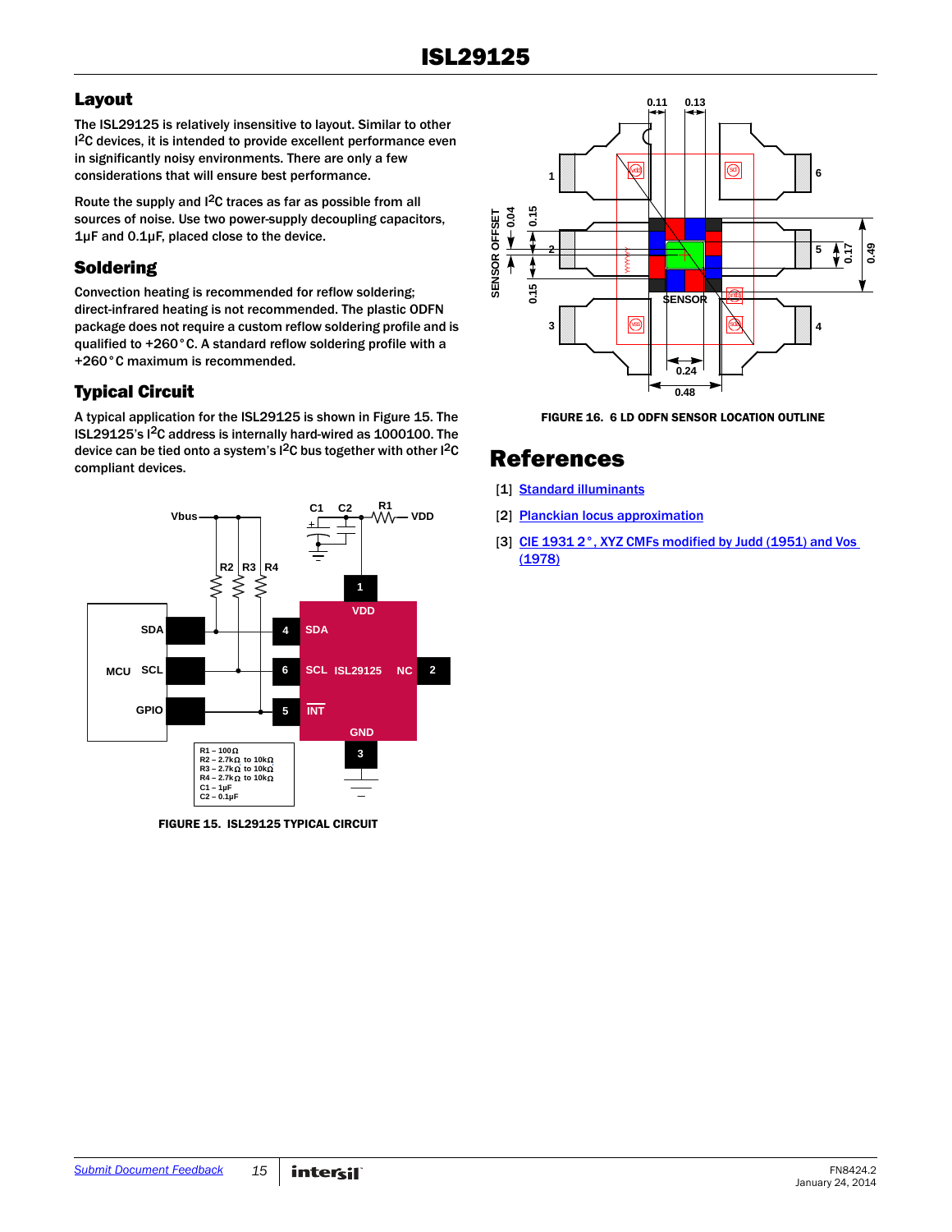## Layout

The ISL29125 is relatively insensitive to layout. Similar to other <sup>2</sup>C devices, it is intended to provide excellent performance even in significantly noisy environments. There are only a few considerations that will ensure best performance.

Route the supply and I2C traces as far as possible from all sources of noise. Use two power-supply decoupling capacitors, 1µF and 0.1µF, placed close to the device.

## Soldering

Convection heating is recommended for reflow soldering; direct-infrared heating is not recommended. The plastic ODFN package does not require a custom reflow soldering profile and is qualified to +260°C. A standard reflow soldering profile with a +260°C maximum is recommended.

## Typical Circuit

A typical application for the ISL29125 is shown in Figure 15. The ISL29125's I2C address is internally hard-wired as 1000100. The device can be tied onto a system's I<sup>2</sup>C bus together with other I<sup>2</sup>C [R](http://www.cvrl.org/)[eferences](http://en.wikipedia.org/wiki/Standard_illuminant)

![](_page_14_Figure_8.jpeg)

FIGURE 15. ISL29125 TYPICAL CIRCUIT

![](_page_14_Figure_10.jpeg)

FIGURE 16. 6 LD ODFN SENSOR LOCATION OUTLINE

- <span id="page-14-0"></span>[1] [Standard illuminants](http://en.wikipedia.org/wiki/Standard_illuminant)
- [2] [Planckian locus approximation](http://en.wikipedia.org/wiki/Planckian_locus)
- [3] CIE 1931 2°, XYZ CMFs modified by Judd (1951) and Vos [\(1978\)](http://www.cvrl.org/cmfs.htm)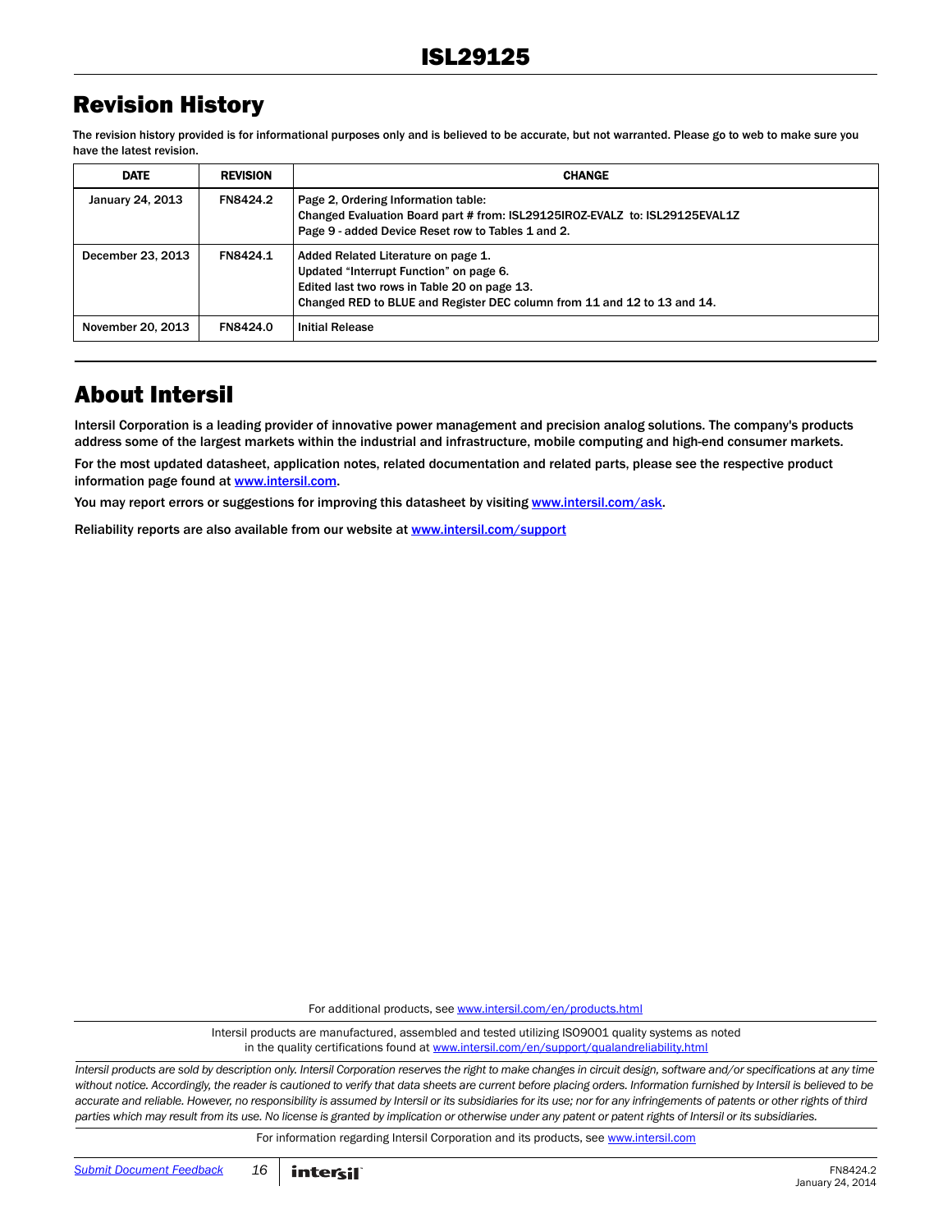## Revision History

The revision history provided is for informational purposes only and is believed to be accurate, but not warranted. Please go to web to make sure you have the latest revision.

| <b>DATE</b>       | <b>REVISION</b> | <b>CHANGE</b>                                                                                                                                                                                              |
|-------------------|-----------------|------------------------------------------------------------------------------------------------------------------------------------------------------------------------------------------------------------|
| January 24, 2013  | FN8424.2        | Page 2, Ordering Information table:<br>Changed Evaluation Board part # from: ISL29125IROZ-EVALZ to: ISL29125EVAL1Z<br>Page 9 - added Device Reset row to Tables 1 and 2.                                   |
| December 23, 2013 | FN8424.1        | Added Related Literature on page 1.<br>Updated "Interrupt Function" on page 6.<br>Edited last two rows in Table 20 on page 13.<br>Changed RED to BLUE and Register DEC column from 11 and 12 to 13 and 14. |
| November 20, 2013 | FN8424.0        | <b>Initial Release</b>                                                                                                                                                                                     |

## About Intersil

Intersil Corporation is a leading provider of innovative power management and precision analog solutions. The company's products address some of the largest markets within the industrial and infrastructure, mobile computing and high-end consumer markets.

For the most updated datasheet, application notes, related documentation and related parts, please see the respective product information page found at [www.intersil.com.](www.intersil.com)

You may report errors or suggestions for improving this datasheet by visiting [www.intersil.com/ask](http://www.intersil.com/en/support/support-faqs.html?p_page=ask.php&p_prods=679&p_icf_7=ISL29125).

Reliability reports are also available from our website at [www.intersil.com/support](http://www.intersil.com/en/support/qualandreliability.html#reliability)

For additional products, see [www.intersil.com/en/products.html](http://www.intersil.com/en/products.html)

Intersil products are manufactured, assembled and tested utilizing ISO9001 quality systems as noted in the quality certifications found at [www.intersil.com/en/support/qualandreliability.html](http://www.intersil.com/en/support/qualandreliability.html)

*Intersil products are sold by description only. Intersil Corporation reserves the right to make changes in circuit design, software and/or specifications at any time*  without notice. Accordingly, the reader is cautioned to verify that data sheets are current before placing orders. Information furnished by Intersil is believed to be *accurate and reliable. However, no responsibility is assumed by Intersil or its subsidiaries for its use; nor for any infringements of patents or other rights of third parties which may result from its use. No license is granted by implication or otherwise under any patent or patent rights of Intersil or its subsidiaries.*

For information regarding Intersil Corporation and its products, see [www.intersil.com](http://www.intersil.com/en.html)